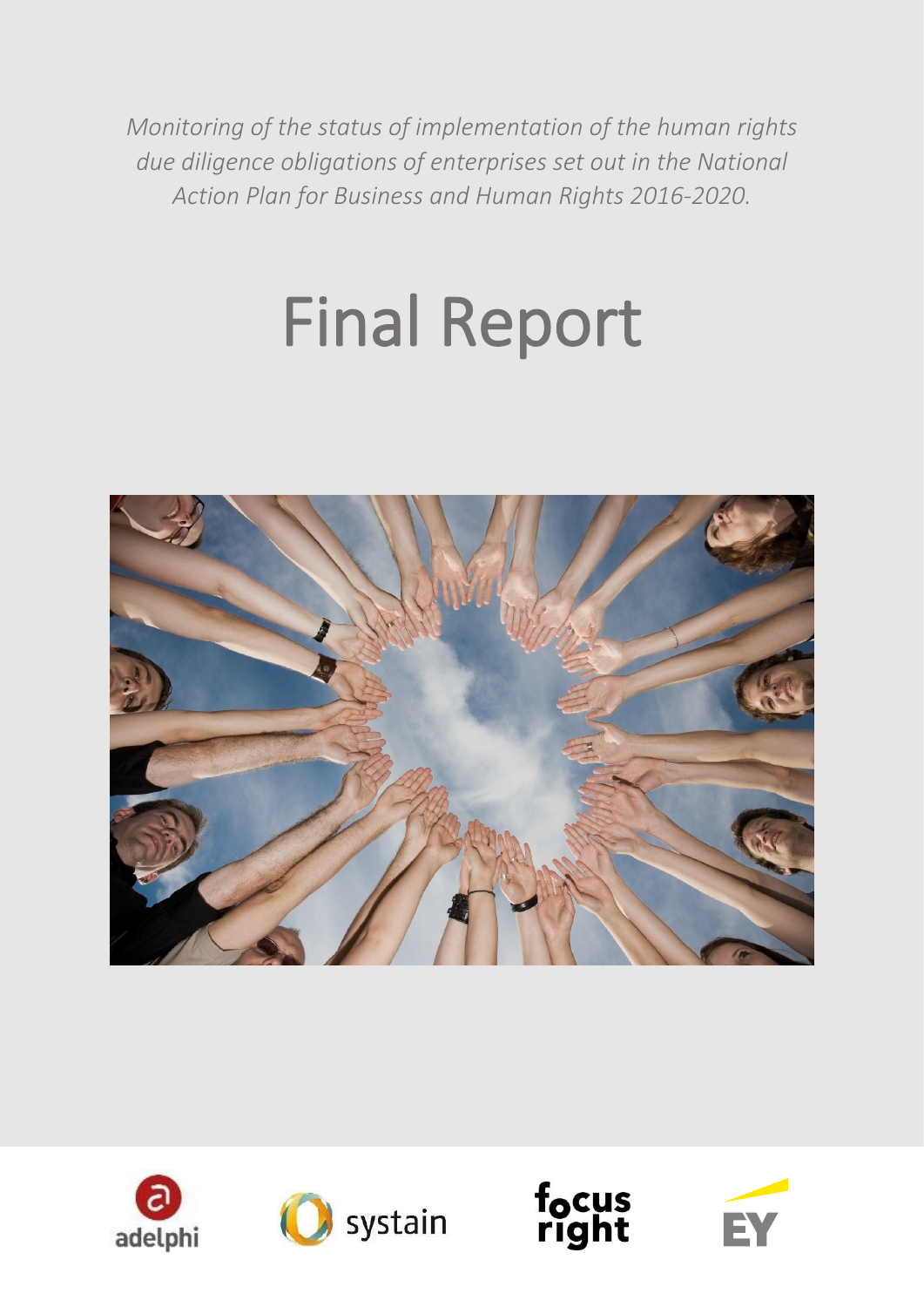*Monitoring of the status of implementation of the human rights due diligence obligations of enterprises set out in the National Action Plan for Business and Human Rights 2016-2020.*

# Final Report







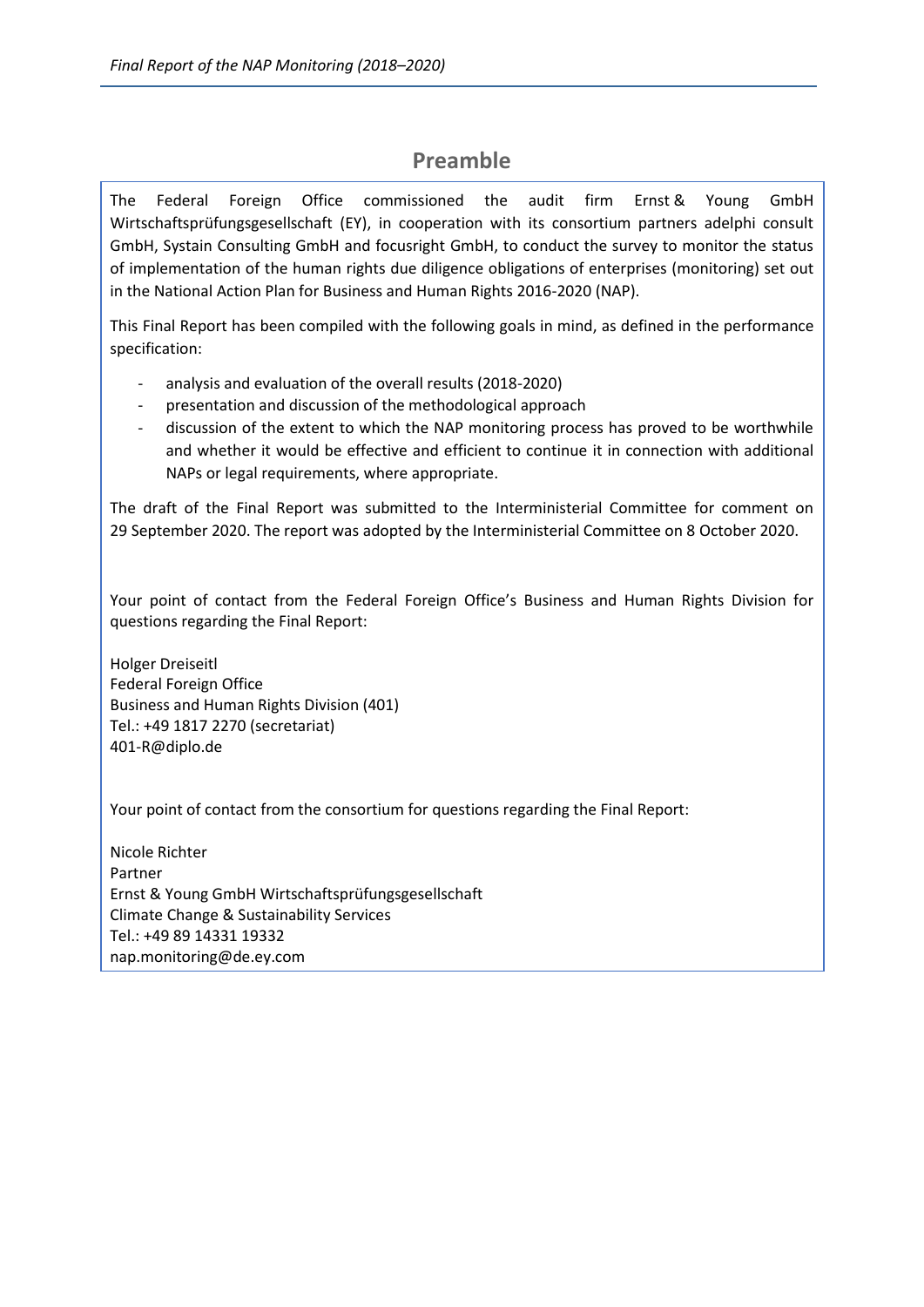## **Preamble**

The Federal Foreign Office commissioned the audit firm Ernst & Young GmbH Wirtschaftsprüfungsgesellschaft (EY), in cooperation with its consortium partners adelphi consult GmbH, Systain Consulting GmbH and focusright GmbH, to conduct the survey to monitor the status of implementation of the human rights due diligence obligations of enterprises (monitoring) set out in the National Action Plan for Business and Human Rights 2016-2020 (NAP).

This Final Report has been compiled with the following goals in mind, as defined in the performance specification:

- analysis and evaluation of the overall results (2018-2020)
- presentation and discussion of the methodological approach
- discussion of the extent to which the NAP monitoring process has proved to be worthwhile and whether it would be effective and efficient to continue it in connection with additional NAPs or legal requirements, where appropriate.

The draft of the Final Report was submitted to the Interministerial Committee for comment on 29 September 2020. The report was adopted by the Interministerial Committee on 8 October 2020.

Your point of contact from the Federal Foreign Office's Business and Human Rights Division for questions regarding the Final Report:

Holger Dreiseitl Federal Foreign Office Business and Human Rights Division (401) Tel.: +49 1817 2270 (secretariat) 401-R@diplo.de

Your point of contact from the consortium for questions regarding the Final Report:

Nicole Richter Partner Ernst & Young GmbH Wirtschaftsprüfungsgesellschaft Climate Change & Sustainability Services Tel.: +49 89 14331 19332 nap.monitoring@de.ey.com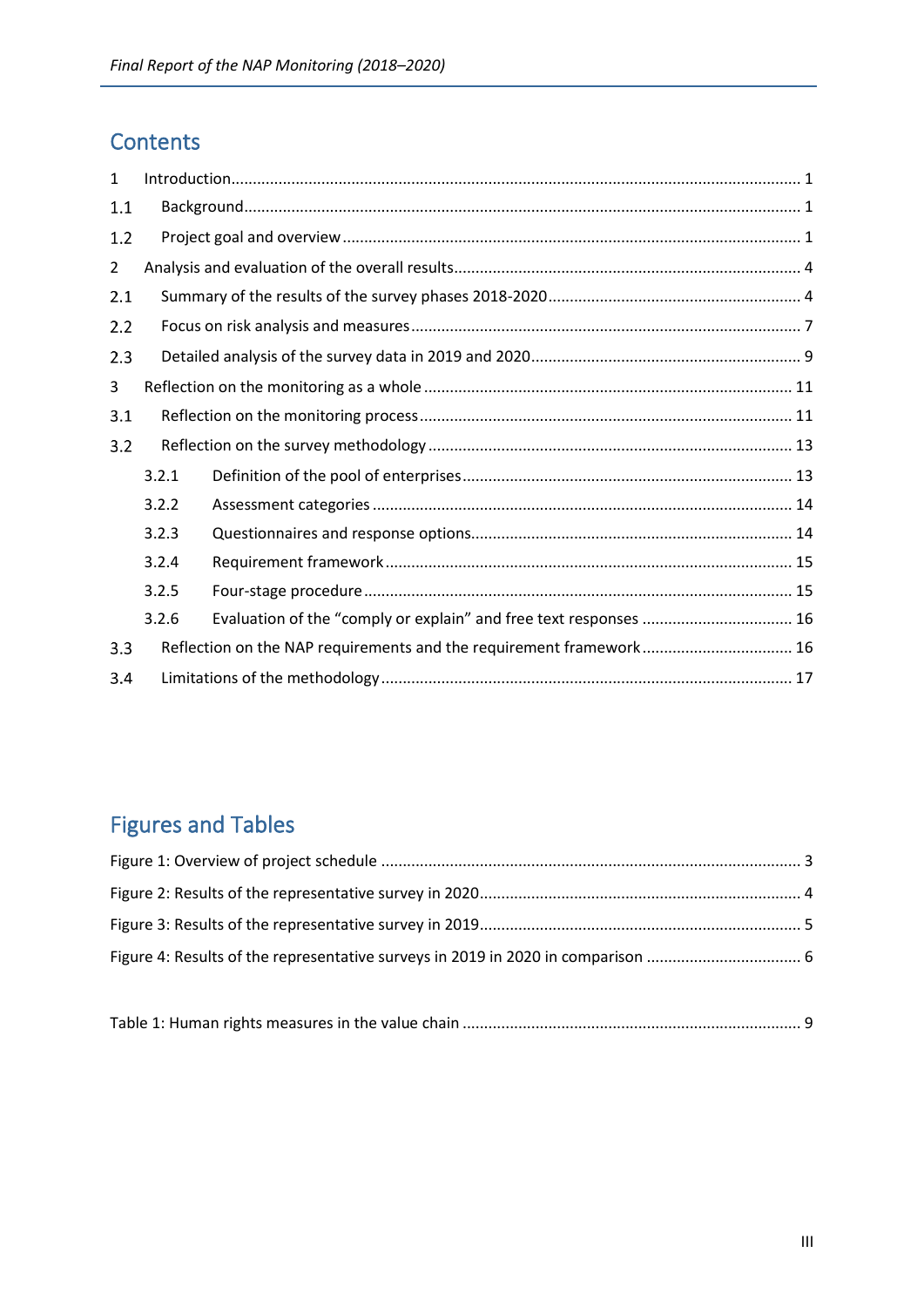# **Contents**

| 1              |                                                                     |                                                                   |  |  |
|----------------|---------------------------------------------------------------------|-------------------------------------------------------------------|--|--|
| 1.1            |                                                                     |                                                                   |  |  |
| 1.2            |                                                                     |                                                                   |  |  |
| $\overline{2}$ |                                                                     |                                                                   |  |  |
| 2.1            |                                                                     |                                                                   |  |  |
| 2.2            |                                                                     |                                                                   |  |  |
| 2.3            |                                                                     |                                                                   |  |  |
| 3              |                                                                     |                                                                   |  |  |
| 3.1            |                                                                     |                                                                   |  |  |
| 3.2            |                                                                     |                                                                   |  |  |
|                | 3.2.1                                                               |                                                                   |  |  |
|                | 3.2.2                                                               |                                                                   |  |  |
|                | 3.2.3                                                               |                                                                   |  |  |
|                | 3.2.4                                                               |                                                                   |  |  |
|                | 3.2.5                                                               |                                                                   |  |  |
|                | 3.2.6                                                               | Evaluation of the "comply or explain" and free text responses  16 |  |  |
| 3.3            | Reflection on the NAP requirements and the requirement framework 16 |                                                                   |  |  |
| 3.4            |                                                                     |                                                                   |  |  |

# Figures and Tables

Table 1: Human rights measures in the value chain ............................................................................... 9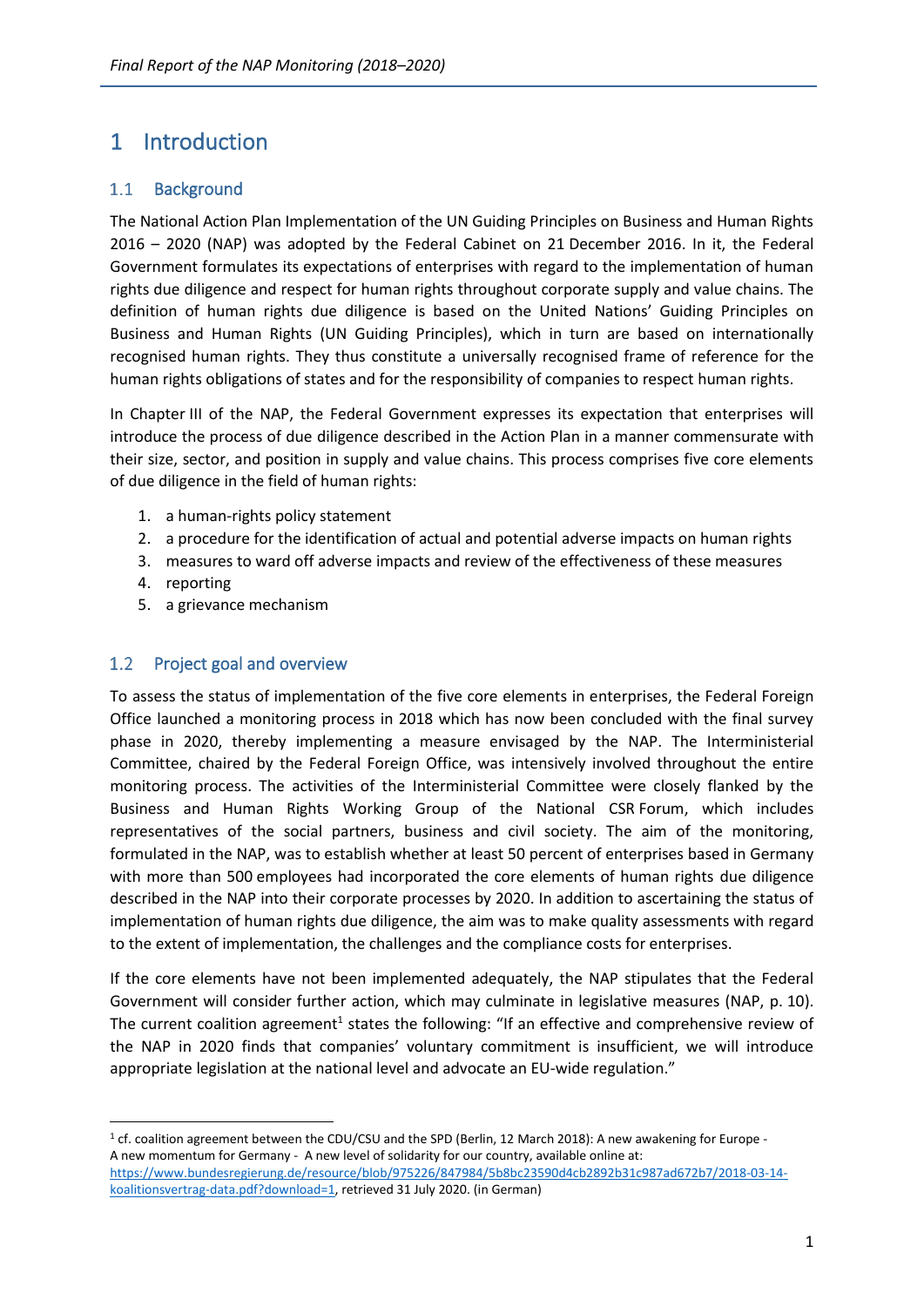# <span id="page-3-0"></span>1 Introduction

### <span id="page-3-1"></span> $1.1$ **Background**

The National Action Plan Implementation of the UN Guiding Principles on Business and Human Rights 2016 – 2020 (NAP) was adopted by the Federal Cabinet on 21 December 2016. In it, the Federal Government formulates its expectations of enterprises with regard to the implementation of human rights due diligence and respect for human rights throughout corporate supply and value chains. The definition of human rights due diligence is based on the United Nations' Guiding Principles on Business and Human Rights (UN Guiding Principles), which in turn are based on internationally recognised human rights. They thus constitute a universally recognised frame of reference for the human rights obligations of states and for the responsibility of companies to respect human rights.

In Chapter III of the NAP, the Federal Government expresses its expectation that enterprises will introduce the process of due diligence described in the Action Plan in a manner commensurate with their size, sector, and position in supply and value chains. This process comprises five core elements of due diligence in the field of human rights:

- 1. a human-rights policy statement
- 2. a procedure for the identification of actual and potential adverse impacts on human rights
- 3. measures to ward off adverse impacts and review of the effectiveness of these measures
- 4. reporting
- 5. a grievance mechanism

### <span id="page-3-2"></span> $1.2$ Project goal and overview

To assess the status of implementation of the five core elements in enterprises, the Federal Foreign Office launched a monitoring process in 2018 which has now been concluded with the final survey phase in 2020, thereby implementing a measure envisaged by the NAP. The Interministerial Committee, chaired by the Federal Foreign Office, was intensively involved throughout the entire monitoring process. The activities of the Interministerial Committee were closely flanked by the Business and Human Rights Working Group of the National CSR Forum, which includes representatives of the social partners, business and civil society. The aim of the monitoring, formulated in the NAP, was to establish whether at least 50 percent of enterprises based in Germany with more than 500 employees had incorporated the core elements of human rights due diligence described in the NAP into their corporate processes by 2020. In addition to ascertaining the status of implementation of human rights due diligence, the aim was to make quality assessments with regard to the extent of implementation, the challenges and the compliance costs for enterprises.

If the core elements have not been implemented adequately, the NAP stipulates that the Federal Government will consider further action, which may culminate in legislative measures (NAP, p. 10). The current coalition agreement<sup>1</sup> states the following: "If an effective and comprehensive review of the NAP in 2020 finds that companies' voluntary commitment is insufficient, we will introduce appropriate legislation at the national level and advocate an EU-wide regulation."

<sup>&</sup>lt;sup>1</sup> cf. coalition agreement between the CDU/CSU and the SPD (Berlin, 12 March 2018): A new awakening for Europe -A new momentum for Germany - A new level of solidarity for our country, available online at: [https://www.bundesregierung.de/resource/blob/975226/847984/5b8bc23590d4cb2892b31c987ad672b7/2018-03-14](https://www.bundesregierung.de/resource/blob/975226/847984/5b8bc23590d4cb2892b31c987ad672b7/2018-03-14-koalitionsvertrag-data.pdf?download=1) [koalitionsvertrag-data.pdf?download=1,](https://www.bundesregierung.de/resource/blob/975226/847984/5b8bc23590d4cb2892b31c987ad672b7/2018-03-14-koalitionsvertrag-data.pdf?download=1) retrieved 31 July 2020. (in German)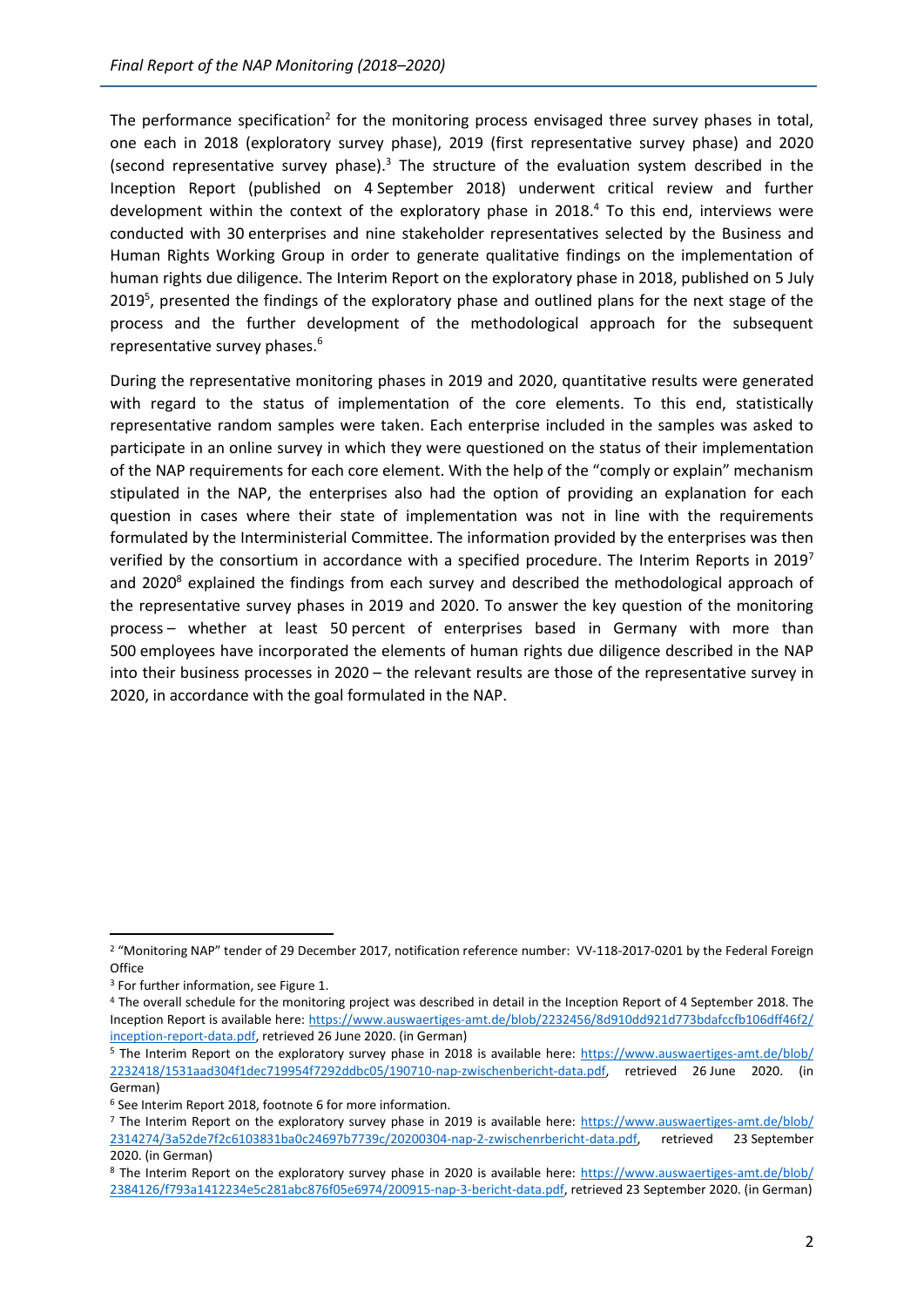The performance specification<sup>2</sup> for the monitoring process envisaged three survey phases in total, one each in 2018 (exploratory survey phase), 2019 (first representative survey phase) and 2020 (second representative survey phase). $3$  The structure of the evaluation system described in the Inception Report (published on 4 September 2018) underwent critical review and further development within the context of the exploratory phase in 2018. $4$  To this end, interviews were conducted with 30 enterprises and nine stakeholder representatives selected by the Business and Human Rights Working Group in order to generate qualitative findings on the implementation of human rights due diligence. The Interim Report on the exploratory phase in 2018, published on 5 July 2019<sup>5</sup>, presented the findings of the exploratory phase and outlined plans for the next stage of the process and the further development of the methodological approach for the subsequent representative survey phases.<sup>6</sup>

During the representative monitoring phases in 2019 and 2020, quantitative results were generated with regard to the status of implementation of the core elements. To this end, statistically representative random samples were taken. Each enterprise included in the samples was asked to participate in an online survey in which they were questioned on the status of their implementation of the NAP requirements for each core element. With the help of the "comply or explain" mechanism stipulated in the NAP, the enterprises also had the option of providing an explanation for each question in cases where their state of implementation was not in line with the requirements formulated by the Interministerial Committee. The information provided by the enterprises was then verified by the consortium in accordance with a specified procedure. The Interim Reports in 2019<sup>7</sup> and 2020<sup>8</sup> explained the findings from each survey and described the methodological approach of the representative survey phases in 2019 and 2020. To answer the key question of the monitoring process – whether at least 50 percent of enterprises based in Germany with more than 500 employees have incorporated the elements of human rights due diligence described in the NAP into their business processes in 2020 – the relevant results are those of the representative survey in 2020, in accordance with the goal formulated in the NAP.

<sup>2</sup> "Monitoring NAP" tender of 29 December 2017, notification reference number: VV-118-2017-0201 by the Federal Foreign **Office** 

<sup>3</sup> For further information, see Figure 1.

<sup>4</sup> The overall schedule for the monitoring project was described in detail in the Inception Report of 4 September 2018. The Inception Report is available here: [https://www.auswaertiges-amt.de/blob/2232456/8d910dd921d773bdafccfb106dff46f2/](https://www.auswaertiges-amt.de/blob/2232456/8d910dd921d773bdafccfb106dff46f2/inception-report-data.pdf) [inception-report-data.pdf,](https://www.auswaertiges-amt.de/blob/2232456/8d910dd921d773bdafccfb106dff46f2/inception-report-data.pdf) retrieved 26 June 2020. (in German)

<sup>5</sup> The Interim Report on the exploratory survey phase in 2018 is available here: [https://www.auswaertiges-amt.de/blob/](https://www.auswaertiges-amt.de/blob/2232418/1531aad304f1dec719954f7292ddbc05/190710-nap-zwischenbericht-data.pdf) [2232418/1531aad304f1dec719954f7292ddbc05/190710-nap-zwischenbericht-data.pdf,](https://www.auswaertiges-amt.de/blob/2232418/1531aad304f1dec719954f7292ddbc05/190710-nap-zwischenbericht-data.pdf) retrieved 26 June 2020. (in German)

<sup>6</sup> See Interim Report 2018, footnote 6 for more information.

<sup>7</sup> The Interim Report on the exploratory survey phase in 2019 is available here: [https://www.auswaertiges-amt.de/blob/](https://www.auswaertiges-amt.de/blob/2314274/3a52de7f2c6103831ba0c24697b7739c/20200304-nap-2-zwischenrbericht-data.pdf) [2314274/3a52de7f2c6103831ba0c24697b7739c/20200304-nap-2-zwischenrbericht-data.pdf,](https://www.auswaertiges-amt.de/blob/2314274/3a52de7f2c6103831ba0c24697b7739c/20200304-nap-2-zwischenrbericht-data.pdf) retrieved 23 September 2020. (in German)

<sup>8</sup> The Interim Report on the exploratory survey phase in 2020 is available here: [https://www.auswaertiges-amt.de/blob/](https://www.auswaertiges-amt.de/blob/2384126/f793a1412234e5c281abc876f05e6974/200915-nap-3-bericht-data.pdf) [2384126/f793a1412234e5c281abc876f05e6974/200915-nap-3-bericht-data.pdf,](https://www.auswaertiges-amt.de/blob/2384126/f793a1412234e5c281abc876f05e6974/200915-nap-3-bericht-data.pdf) retrieved 23 September 2020. (in German)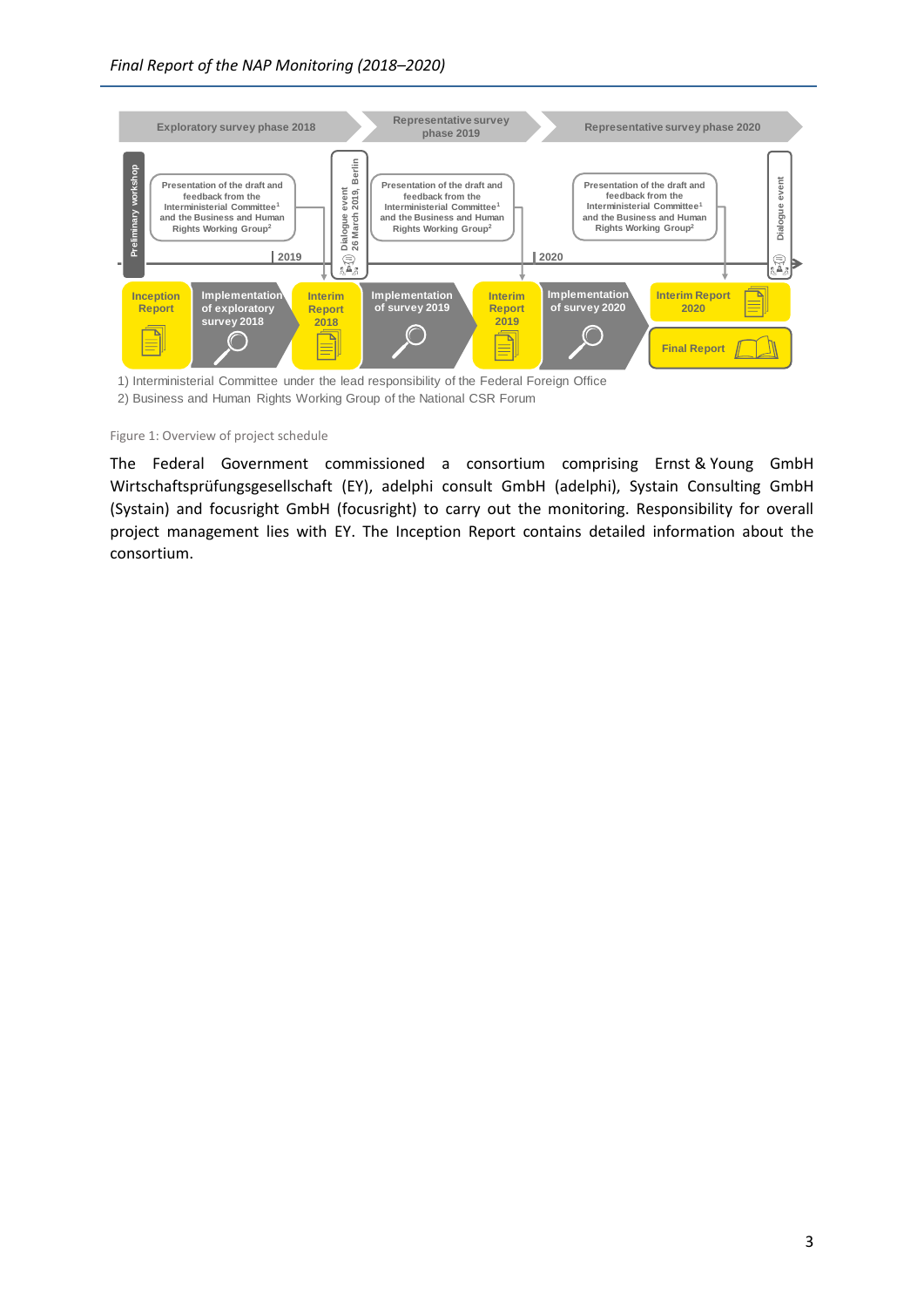

2) Business and Human Rights Working Group of the National CSR Forum

<span id="page-5-0"></span>Figure 1: Overview of project schedule

The Federal Government commissioned a consortium comprising Ernst & Young GmbH Wirtschaftsprüfungsgesellschaft (EY), adelphi consult GmbH (adelphi), Systain Consulting GmbH (Systain) and focusright GmbH (focusright) to carry out the monitoring. Responsibility for overall project management lies with EY. The Inception Report contains detailed information about the consortium.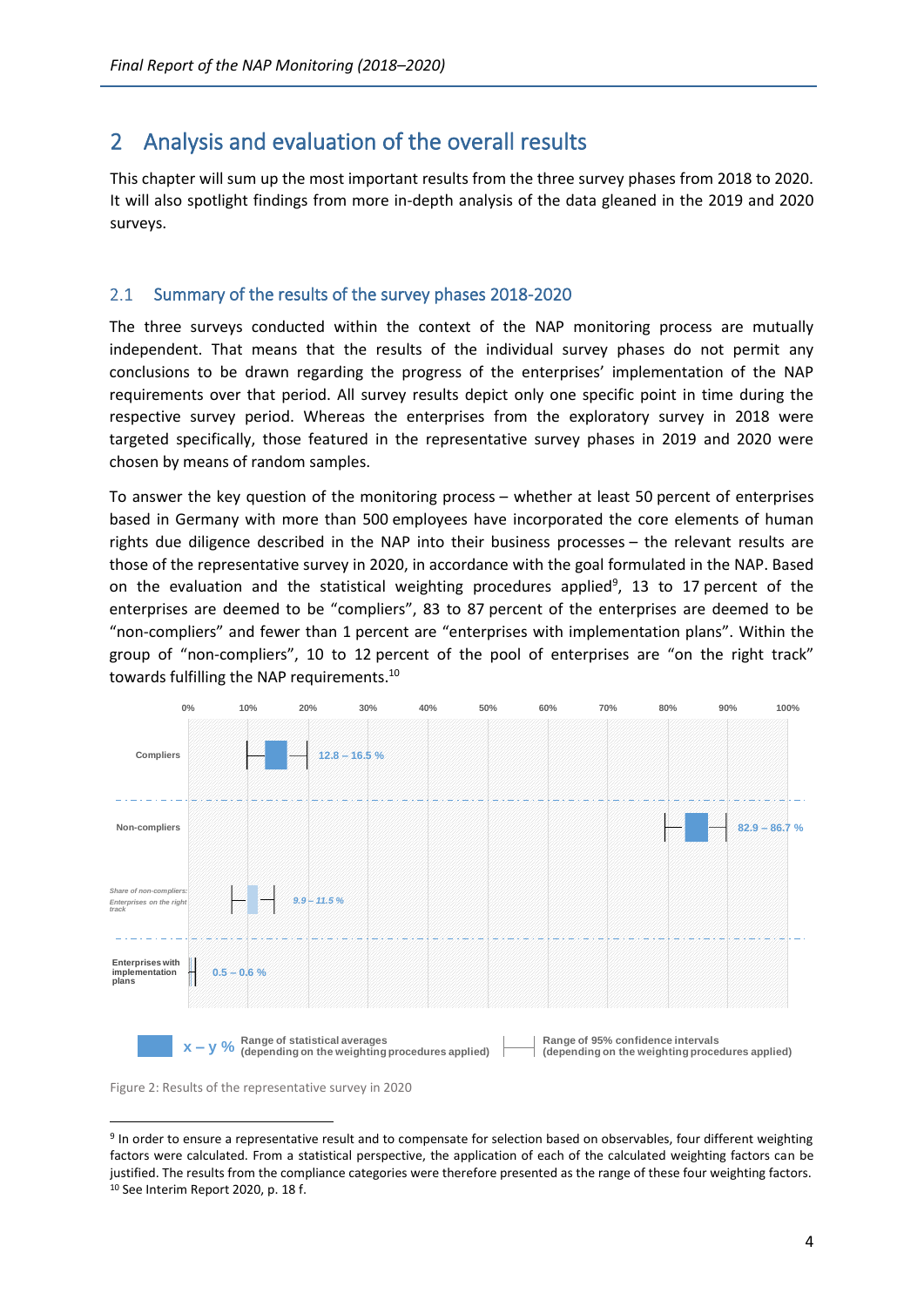# <span id="page-6-0"></span>2 Analysis and evaluation of the overall results

This chapter will sum up the most important results from the three survey phases from 2018 to 2020. It will also spotlight findings from more in-depth analysis of the data gleaned in the 2019 and 2020 surveys.

#### <span id="page-6-1"></span> $2.1$ Summary of the results of the survey phases 2018-2020

The three surveys conducted within the context of the NAP monitoring process are mutually independent. That means that the results of the individual survey phases do not permit any conclusions to be drawn regarding the progress of the enterprises' implementation of the NAP requirements over that period. All survey results depict only one specific point in time during the respective survey period. Whereas the enterprises from the exploratory survey in 2018 were targeted specifically, those featured in the representative survey phases in 2019 and 2020 were chosen by means of random samples.

To answer the key question of the monitoring process – whether at least 50 percent of enterprises based in Germany with more than 500 employees have incorporated the core elements of human rights due diligence described in the NAP into their business processes – the relevant results are those of the representative survey in 2020, in accordance with the goal formulated in the NAP. Based on the evaluation and the statistical weighting procedures applied<sup>9</sup>, 13 to 17 percent of the enterprises are deemed to be "compliers", 83 to 87 percent of the enterprises are deemed to be "non-compliers" and fewer than 1 percent are "enterprises with implementation plans". Within the group of "non-compliers", 10 to 12 percent of the pool of enterprises are "on the right track" towards fulfilling the NAP requirements.<sup>10</sup>



<span id="page-6-2"></span>Figure 2: Results of the representative survey in 2020

<sup>&</sup>lt;sup>9</sup> In order to ensure a representative result and to compensate for selection based on observables, four different weighting factors were calculated. From a statistical perspective, the application of each of the calculated weighting factors can be justified. The results from the compliance categories were therefore presented as the range of these four weighting factors. <sup>10</sup> See Interim Report 2020, p. 18 f.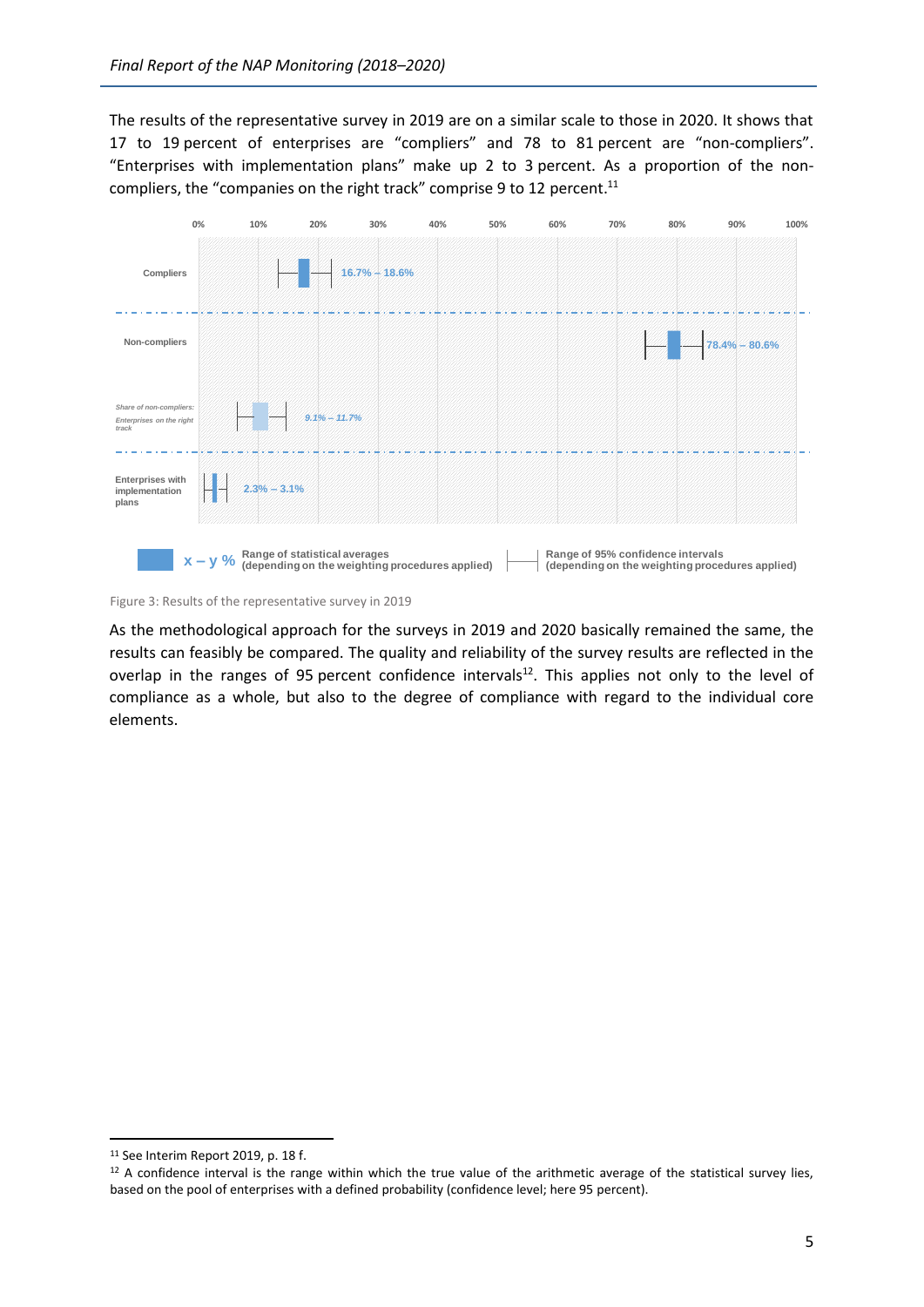The results of the representative survey in 2019 are on a similar scale to those in 2020. It shows that 17 to 19 percent of enterprises are "compliers" and 78 to 81 percent are "non-compliers". "Enterprises with implementation plans" make up 2 to 3 percent. As a proportion of the noncompliers, the "companies on the right track" comprise 9 to 12 percent.<sup>11</sup>



<span id="page-7-0"></span>Figure 3: Results of the representative survey in 2019

As the methodological approach for the surveys in 2019 and 2020 basically remained the same, the results can feasibly be compared. The quality and reliability of the survey results are reflected in the overlap in the ranges of 95 percent confidence intervals<sup>12</sup>. This applies not only to the level of compliance as a whole, but also to the degree of compliance with regard to the individual core elements.

<sup>&</sup>lt;sup>11</sup> See Interim Report 2019, p. 18 f.

<sup>&</sup>lt;sup>12</sup> A confidence interval is the range within which the true value of the arithmetic average of the statistical survey lies, based on the pool of enterprises with a defined probability (confidence level; here 95 percent).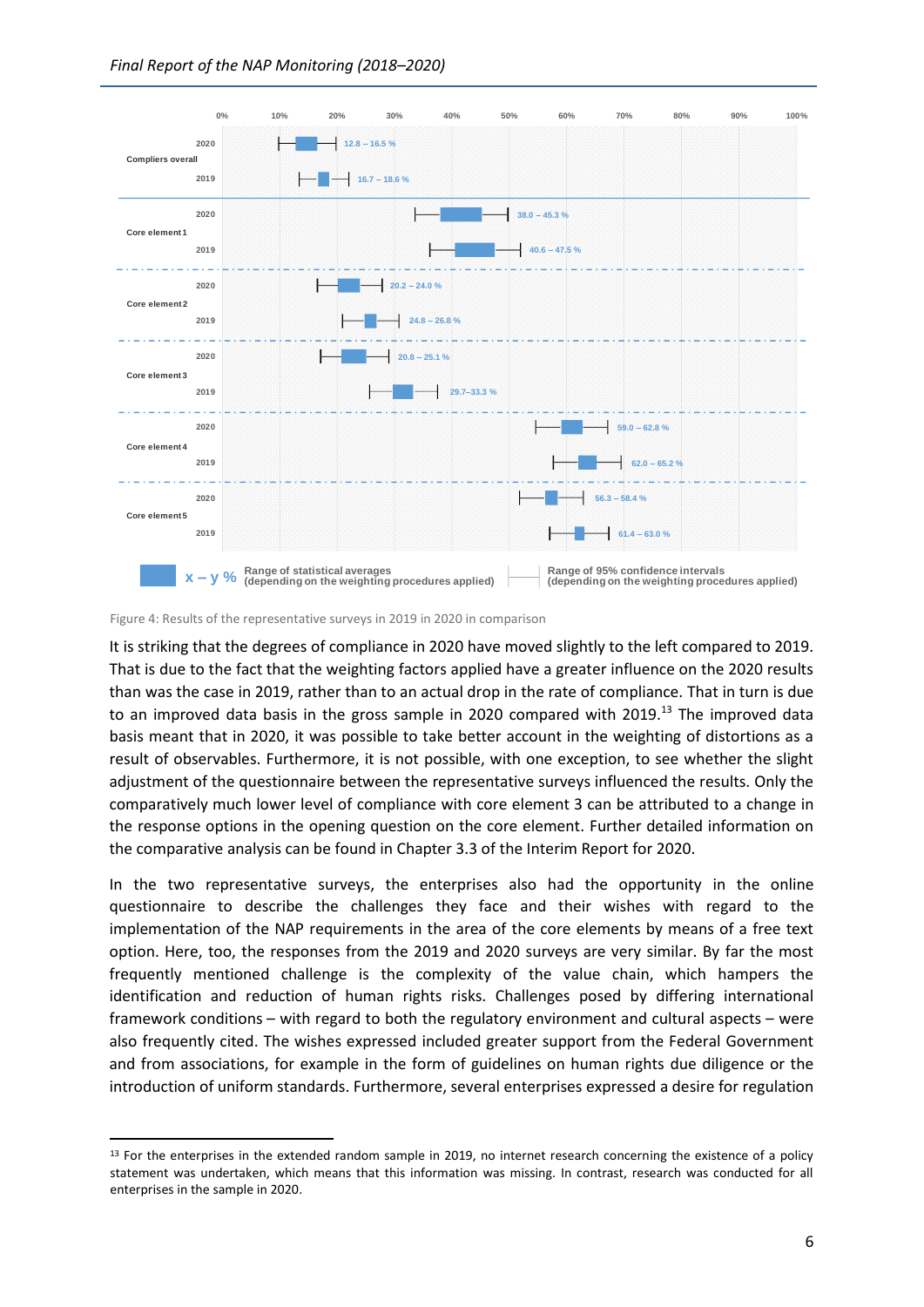

<span id="page-8-0"></span>Figure 4: Results of the representative surveys in 2019 in 2020 in comparison

It is striking that the degrees of compliance in 2020 have moved slightly to the left compared to 2019. That is due to the fact that the weighting factors applied have a greater influence on the 2020 results than was the case in 2019, rather than to an actual drop in the rate of compliance. That in turn is due to an improved data basis in the gross sample in 2020 compared with 2019.<sup>13</sup> The improved data basis meant that in 2020, it was possible to take better account in the weighting of distortions as a result of observables. Furthermore, it is not possible, with one exception, to see whether the slight adjustment of the questionnaire between the representative surveys influenced the results. Only the comparatively much lower level of compliance with core element 3 can be attributed to a change in the response options in the opening question on the core element. Further detailed information on the comparative analysis can be found in Chapter 3.3 of the Interim Report for 2020.

In the two representative surveys, the enterprises also had the opportunity in the online questionnaire to describe the challenges they face and their wishes with regard to the implementation of the NAP requirements in the area of the core elements by means of a free text option. Here, too, the responses from the 2019 and 2020 surveys are very similar. By far the most frequently mentioned challenge is the complexity of the value chain, which hampers the identification and reduction of human rights risks. Challenges posed by differing international framework conditions – with regard to both the regulatory environment and cultural aspects – were also frequently cited. The wishes expressed included greater support from the Federal Government and from associations, for example in the form of guidelines on human rights due diligence or the introduction of uniform standards. Furthermore, several enterprises expressed a desire for regulation

<sup>&</sup>lt;sup>13</sup> For the enterprises in the extended random sample in 2019, no internet research concerning the existence of a policy statement was undertaken, which means that this information was missing. In contrast, research was conducted for all enterprises in the sample in 2020.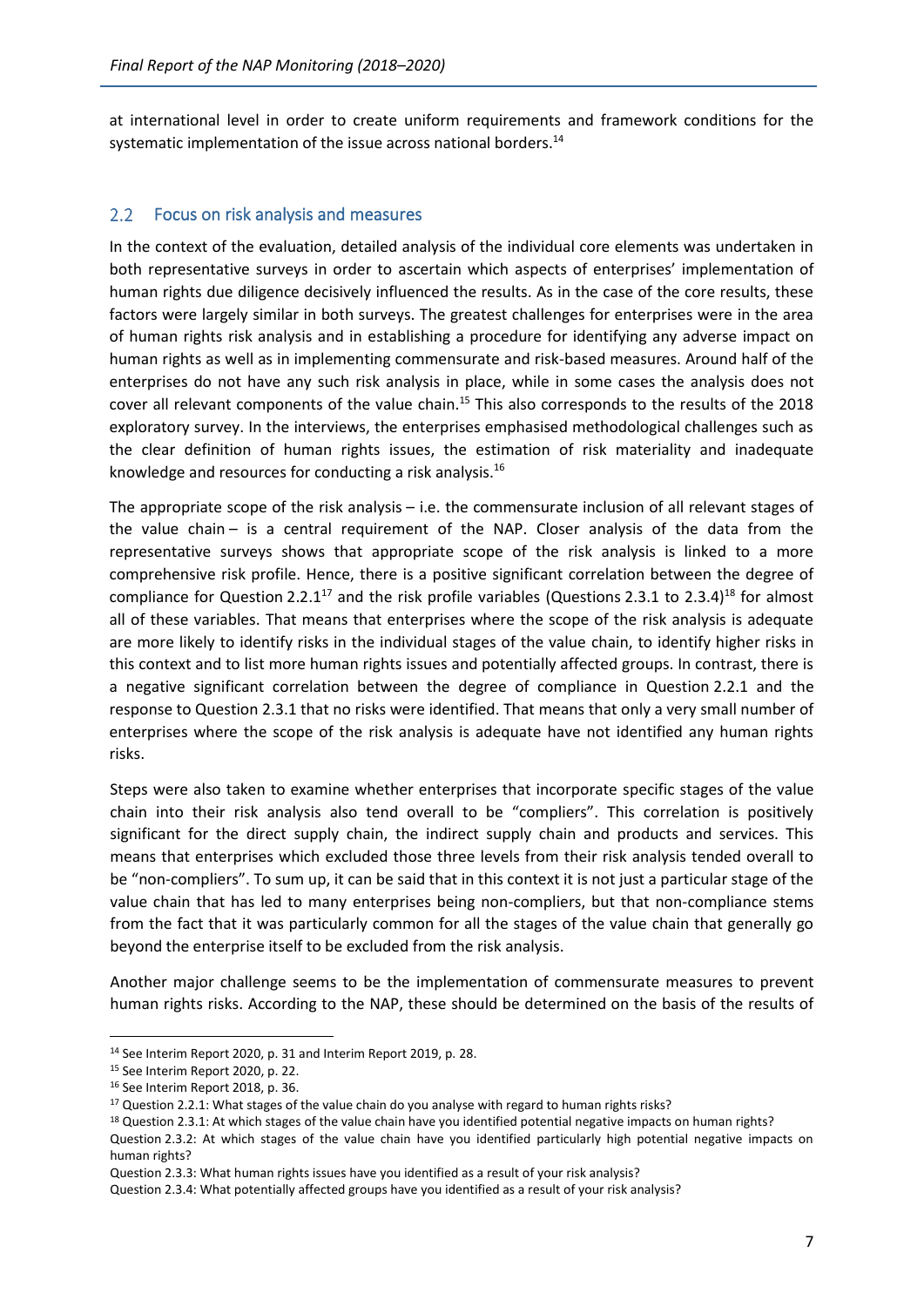at international level in order to create uniform requirements and framework conditions for the systematic implementation of the issue across national borders.<sup>14</sup>

#### <span id="page-9-0"></span> $2.2$ Focus on risk analysis and measures

In the context of the evaluation, detailed analysis of the individual core elements was undertaken in both representative surveys in order to ascertain which aspects of enterprises' implementation of human rights due diligence decisively influenced the results. As in the case of the core results, these factors were largely similar in both surveys. The greatest challenges for enterprises were in the area of human rights risk analysis and in establishing a procedure for identifying any adverse impact on human rights as well as in implementing commensurate and risk-based measures. Around half of the enterprises do not have any such risk analysis in place, while in some cases the analysis does not cover all relevant components of the value chain.<sup>15</sup> This also corresponds to the results of the 2018 exploratory survey. In the interviews, the enterprises emphasised methodological challenges such as the clear definition of human rights issues, the estimation of risk materiality and inadequate knowledge and resources for conducting a risk analysis.<sup>16</sup>

The appropriate scope of the risk analysis – i.e. the commensurate inclusion of all relevant stages of the value chain – is a central requirement of the NAP. Closer analysis of the data from the representative surveys shows that appropriate scope of the risk analysis is linked to a more comprehensive risk profile. Hence, there is a positive significant correlation between the degree of compliance for Question 2.2.1<sup>17</sup> and the risk profile variables (Questions 2.3.1 to 2.3.4)<sup>18</sup> for almost all of these variables. That means that enterprises where the scope of the risk analysis is adequate are more likely to identify risks in the individual stages of the value chain, to identify higher risks in this context and to list more human rights issues and potentially affected groups. In contrast, there is a negative significant correlation between the degree of compliance in Question 2.2.1 and the response to Question 2.3.1 that no risks were identified. That means that only a very small number of enterprises where the scope of the risk analysis is adequate have not identified any human rights risks.

Steps were also taken to examine whether enterprises that incorporate specific stages of the value chain into their risk analysis also tend overall to be "compliers". This correlation is positively significant for the direct supply chain, the indirect supply chain and products and services. This means that enterprises which excluded those three levels from their risk analysis tended overall to be "non-compliers". To sum up, it can be said that in this context it is not just a particular stage of the value chain that has led to many enterprises being non-compliers, but that non-compliance stems from the fact that it was particularly common for all the stages of the value chain that generally go beyond the enterprise itself to be excluded from the risk analysis.

Another major challenge seems to be the implementation of commensurate measures to prevent human rights risks. According to the NAP, these should be determined on the basis of the results of

<sup>18</sup> Question 2.3.1: At which stages of the value chain have you identified potential negative impacts on human rights?

Question 2.3.2: At which stages of the value chain have you identified particularly high potential negative impacts on human rights?

<sup>14</sup> See Interim Report 2020, p. 31 and Interim Report 2019, p. 28.

<sup>15</sup> See Interim Report 2020, p. 22.

<sup>16</sup> See Interim Report 2018, p. 36.

<sup>&</sup>lt;sup>17</sup> Question 2.2.1: What stages of the value chain do you analyse with regard to human rights risks?

Question 2.3.3: What human rights issues have you identified as a result of your risk analysis?

Question 2.3.4: What potentially affected groups have you identified as a result of your risk analysis?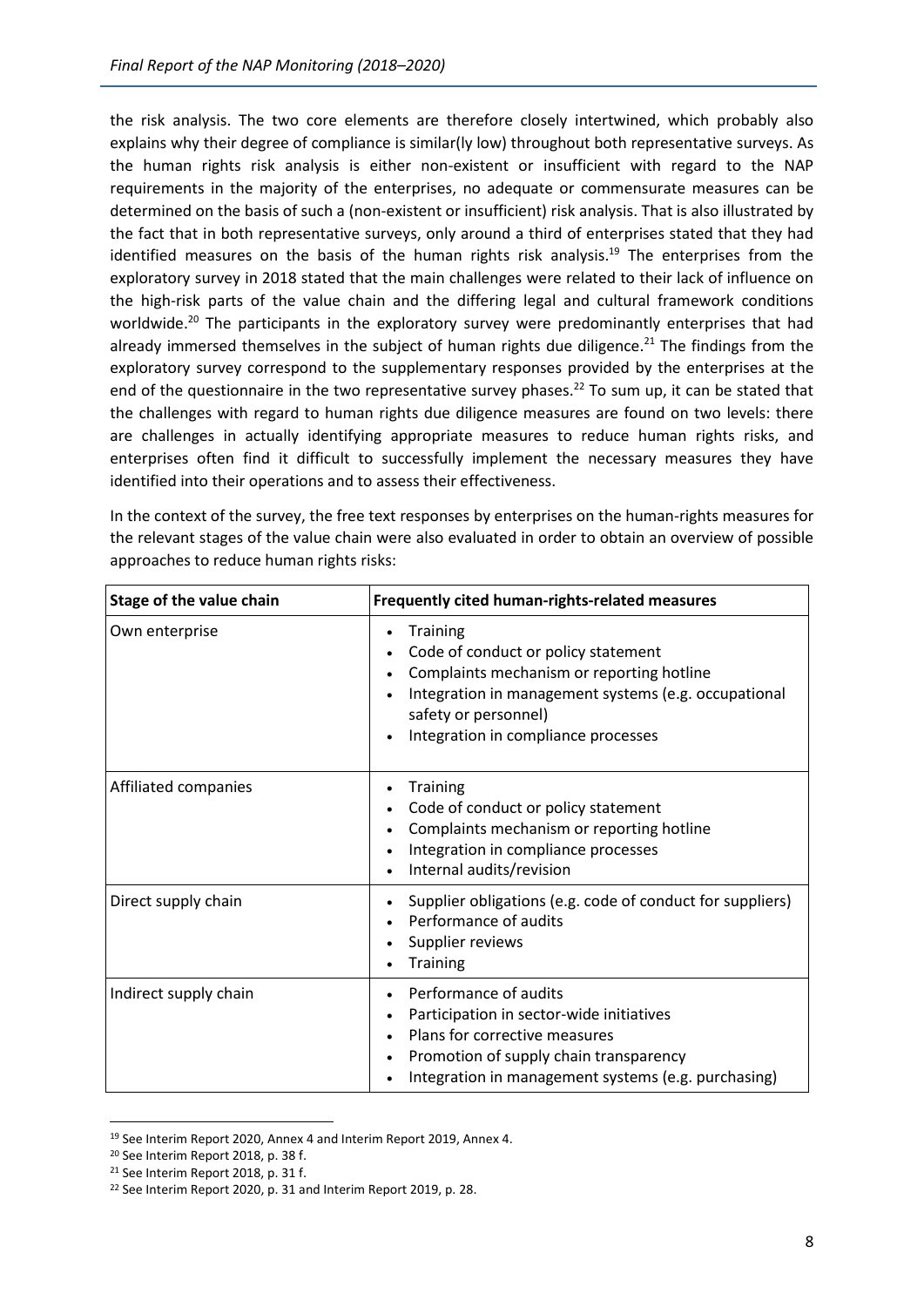the risk analysis. The two core elements are therefore closely intertwined, which probably also explains why their degree of compliance is similar(ly low) throughout both representative surveys. As the human rights risk analysis is either non-existent or insufficient with regard to the NAP requirements in the majority of the enterprises, no adequate or commensurate measures can be determined on the basis of such a (non-existent or insufficient) risk analysis. That is also illustrated by the fact that in both representative surveys, only around a third of enterprises stated that they had identified measures on the basis of the human rights risk analysis.<sup>19</sup> The enterprises from the exploratory survey in 2018 stated that the main challenges were related to their lack of influence on the high-risk parts of the value chain and the differing legal and cultural framework conditions worldwide.<sup>20</sup> The participants in the exploratory survey were predominantly enterprises that had already immersed themselves in the subject of human rights due diligence.<sup>21</sup> The findings from the exploratory survey correspond to the supplementary responses provided by the enterprises at the end of the questionnaire in the two representative survey phases.<sup>22</sup> To sum up, it can be stated that the challenges with regard to human rights due diligence measures are found on two levels: there are challenges in actually identifying appropriate measures to reduce human rights risks, and enterprises often find it difficult to successfully implement the necessary measures they have identified into their operations and to assess their effectiveness.

| Stage of the value chain | Frequently cited human-rights-related measures                                                                                                                                                                                  |
|--------------------------|---------------------------------------------------------------------------------------------------------------------------------------------------------------------------------------------------------------------------------|
| Own enterprise           | <b>Training</b><br>٠<br>Code of conduct or policy statement<br>Complaints mechanism or reporting hotline<br>Integration in management systems (e.g. occupational<br>safety or personnel)<br>Integration in compliance processes |
| Affiliated companies     | <b>Training</b><br>Code of conduct or policy statement<br>Complaints mechanism or reporting hotline<br>Integration in compliance processes<br>Internal audits/revision                                                          |
| Direct supply chain      | Supplier obligations (e.g. code of conduct for suppliers)<br>Performance of audits<br>Supplier reviews<br><b>Training</b>                                                                                                       |
| Indirect supply chain    | Performance of audits<br>Participation in sector-wide initiatives<br>Plans for corrective measures<br>Promotion of supply chain transparency<br>Integration in management systems (e.g. purchasing)                             |

In the context of the survey, the free text responses by enterprises on the human-rights measures for the relevant stages of the value chain were also evaluated in order to obtain an overview of possible approaches to reduce human rights risks:

<sup>19</sup> See Interim Report 2020, Annex 4 and Interim Report 2019, Annex 4.

<sup>20</sup> See Interim Report 2018, p. 38 f.

<sup>21</sup> See Interim Report 2018, p. 31 f.

<sup>&</sup>lt;sup>22</sup> See Interim Report 2020, p. 31 and Interim Report 2019, p. 28.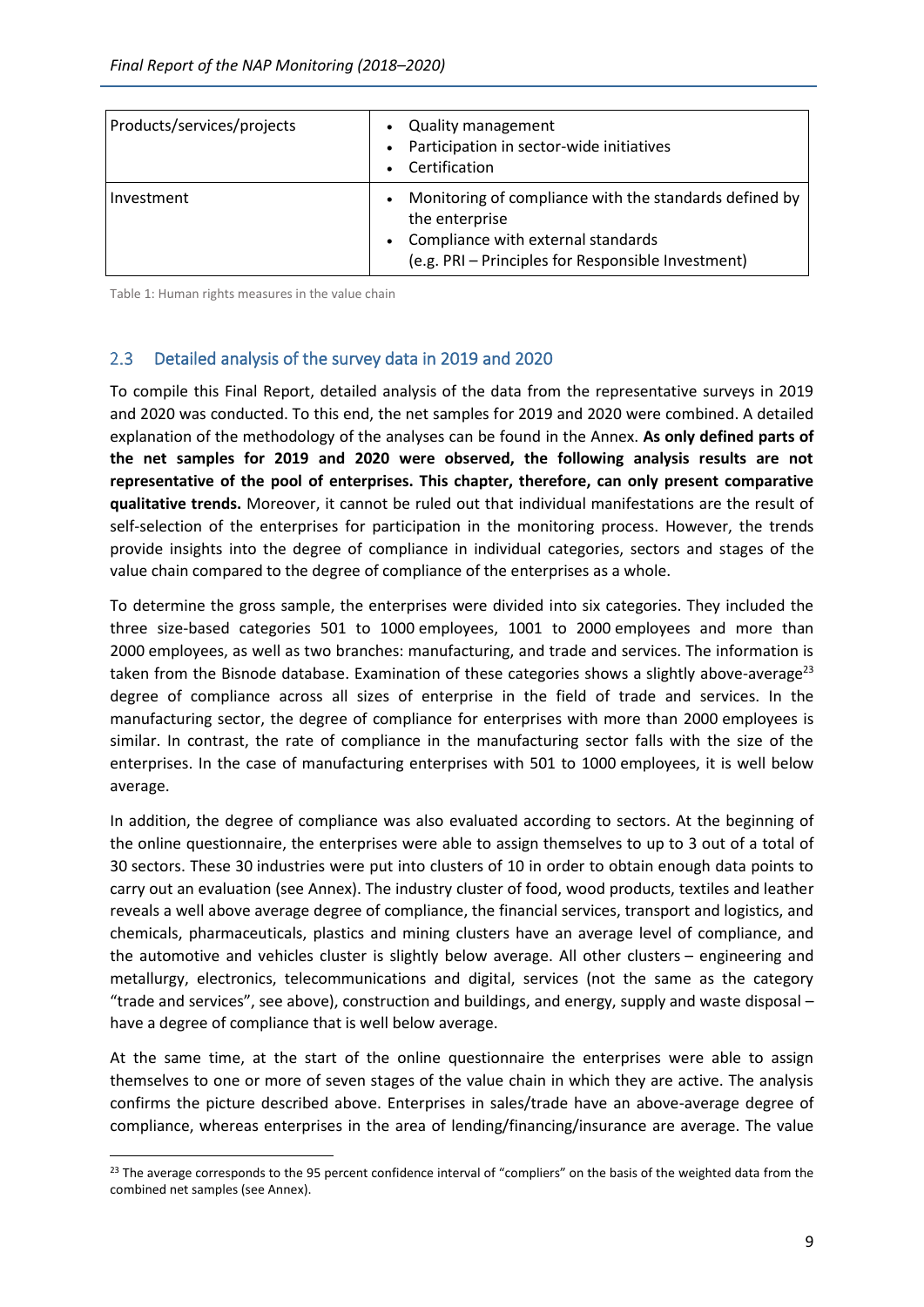| Products/services/projects | <b>Quality management</b><br>Participation in sector-wide initiatives<br>Certification                                                                               |
|----------------------------|----------------------------------------------------------------------------------------------------------------------------------------------------------------------|
| Investment                 | Monitoring of compliance with the standards defined by<br>the enterprise<br>Compliance with external standards<br>(e.g. PRI - Principles for Responsible Investment) |

Table 1: Human rights measures in the value chain

### <span id="page-11-0"></span> $2.3$ Detailed analysis of the survey data in 2019 and 2020

To compile this Final Report, detailed analysis of the data from the representative surveys in 2019 and 2020 was conducted. To this end, the net samples for 2019 and 2020 were combined. A detailed explanation of the methodology of the analyses can be found in the Annex. **As only defined parts of the net samples for 2019 and 2020 were observed, the following analysis results are not representative of the pool of enterprises. This chapter, therefore, can only present comparative qualitative trends.** Moreover, it cannot be ruled out that individual manifestations are the result of self-selection of the enterprises for participation in the monitoring process. However, the trends provide insights into the degree of compliance in individual categories, sectors and stages of the value chain compared to the degree of compliance of the enterprises as a whole.

To determine the gross sample, the enterprises were divided into six categories. They included the three size-based categories 501 to 1000 employees, 1001 to 2000 employees and more than 2000 employees, as well as two branches: manufacturing, and trade and services. The information is taken from the Bisnode database. Examination of these categories shows a slightly above-average<sup>23</sup> degree of compliance across all sizes of enterprise in the field of trade and services. In the manufacturing sector, the degree of compliance for enterprises with more than 2000 employees is similar. In contrast, the rate of compliance in the manufacturing sector falls with the size of the enterprises. In the case of manufacturing enterprises with 501 to 1000 employees, it is well below average.

In addition, the degree of compliance was also evaluated according to sectors. At the beginning of the online questionnaire, the enterprises were able to assign themselves to up to 3 out of a total of 30 sectors. These 30 industries were put into clusters of 10 in order to obtain enough data points to carry out an evaluation (see Annex). The industry cluster of food, wood products, textiles and leather reveals a well above average degree of compliance, the financial services, transport and logistics, and chemicals, pharmaceuticals, plastics and mining clusters have an average level of compliance, and the automotive and vehicles cluster is slightly below average. All other clusters – engineering and metallurgy, electronics, telecommunications and digital, services (not the same as the category "trade and services", see above), construction and buildings, and energy, supply and waste disposal – have a degree of compliance that is well below average.

At the same time, at the start of the online questionnaire the enterprises were able to assign themselves to one or more of seven stages of the value chain in which they are active. The analysis confirms the picture described above. Enterprises in sales/trade have an above-average degree of compliance, whereas enterprises in the area of lending/financing/insurance are average. The value

<sup>&</sup>lt;sup>23</sup> The average corresponds to the 95 percent confidence interval of "compliers" on the basis of the weighted data from the combined net samples (see Annex).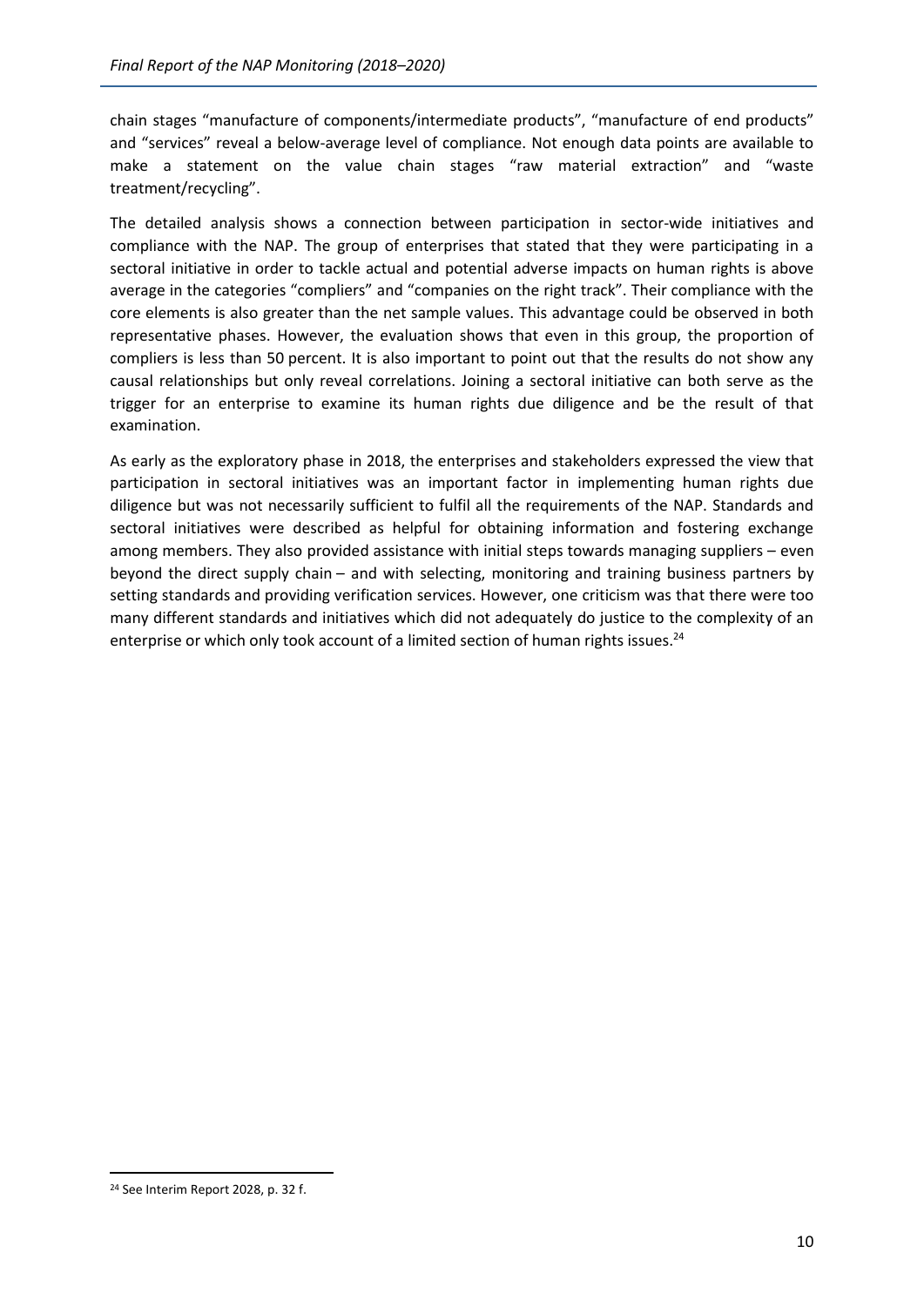chain stages "manufacture of components/intermediate products", "manufacture of end products" and "services" reveal a below-average level of compliance. Not enough data points are available to make a statement on the value chain stages "raw material extraction" and "waste treatment/recycling".

The detailed analysis shows a connection between participation in sector-wide initiatives and compliance with the NAP. The group of enterprises that stated that they were participating in a sectoral initiative in order to tackle actual and potential adverse impacts on human rights is above average in the categories "compliers" and "companies on the right track". Their compliance with the core elements is also greater than the net sample values. This advantage could be observed in both representative phases. However, the evaluation shows that even in this group, the proportion of compliers is less than 50 percent. It is also important to point out that the results do not show any causal relationships but only reveal correlations. Joining a sectoral initiative can both serve as the trigger for an enterprise to examine its human rights due diligence and be the result of that examination.

As early as the exploratory phase in 2018, the enterprises and stakeholders expressed the view that participation in sectoral initiatives was an important factor in implementing human rights due diligence but was not necessarily sufficient to fulfil all the requirements of the NAP. Standards and sectoral initiatives were described as helpful for obtaining information and fostering exchange among members. They also provided assistance with initial steps towards managing suppliers – even beyond the direct supply chain – and with selecting, monitoring and training business partners by setting standards and providing verification services. However, one criticism was that there were too many different standards and initiatives which did not adequately do justice to the complexity of an enterprise or which only took account of a limited section of human rights issues.<sup>24</sup>

<sup>&</sup>lt;sup>24</sup> See Interim Report 2028, p. 32 f.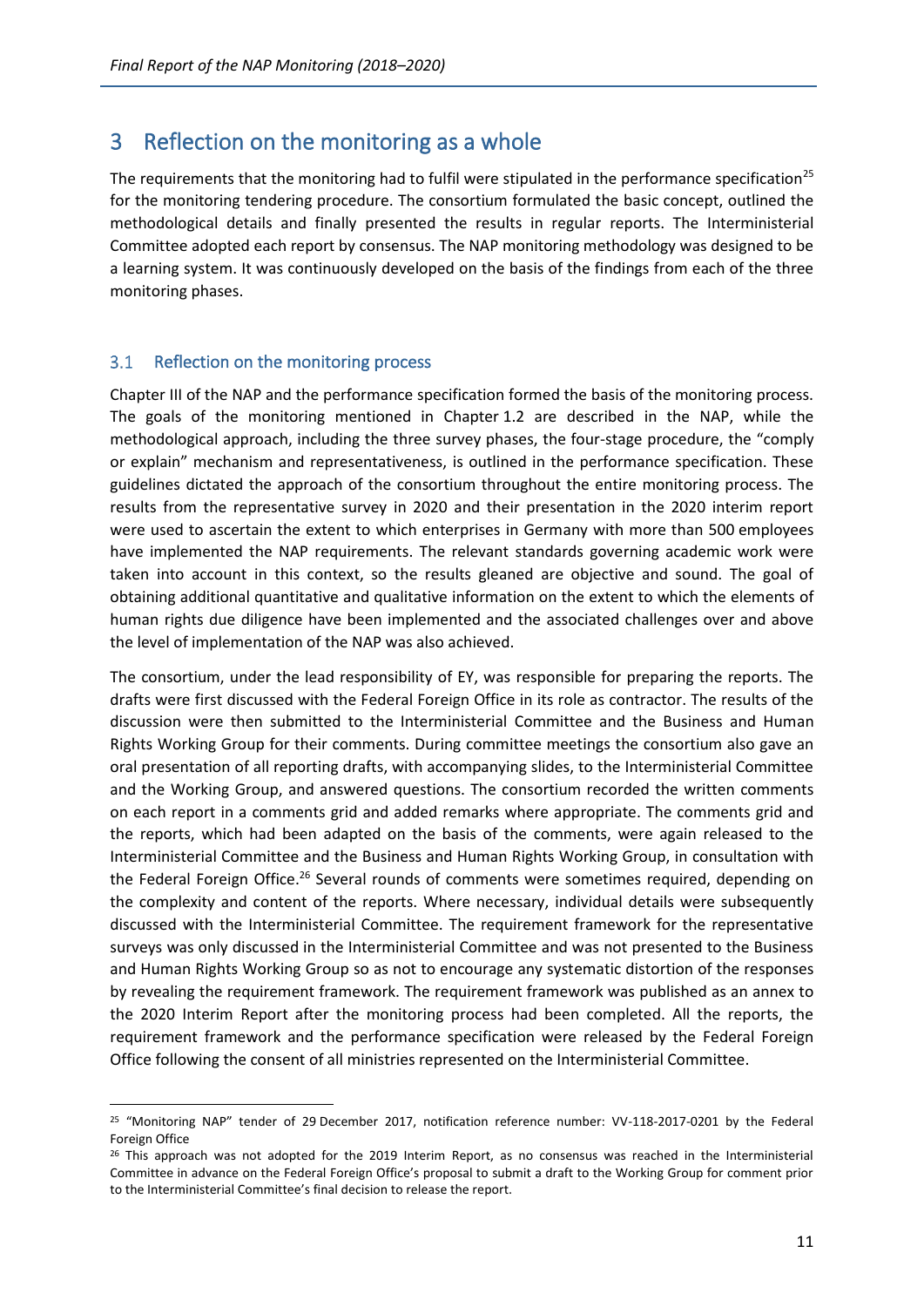# <span id="page-13-0"></span>3 Reflection on the monitoring as a whole

The requirements that the monitoring had to fulfil were stipulated in the performance specification<sup>25</sup> for the monitoring tendering procedure. The consortium formulated the basic concept, outlined the methodological details and finally presented the results in regular reports. The Interministerial Committee adopted each report by consensus. The NAP monitoring methodology was designed to be a learning system. It was continuously developed on the basis of the findings from each of the three monitoring phases.

#### <span id="page-13-1"></span>Reflection on the monitoring process  $3.1$

Chapter III of the NAP and the performance specification formed the basis of the monitoring process. The goals of the monitoring mentioned in Chapter 1.2 are described in the NAP, while the methodological approach, including the three survey phases, the four-stage procedure, the "comply or explain" mechanism and representativeness, is outlined in the performance specification. These guidelines dictated the approach of the consortium throughout the entire monitoring process. The results from the representative survey in 2020 and their presentation in the 2020 interim report were used to ascertain the extent to which enterprises in Germany with more than 500 employees have implemented the NAP requirements. The relevant standards governing academic work were taken into account in this context, so the results gleaned are objective and sound. The goal of obtaining additional quantitative and qualitative information on the extent to which the elements of human rights due diligence have been implemented and the associated challenges over and above the level of implementation of the NAP was also achieved.

The consortium, under the lead responsibility of EY, was responsible for preparing the reports. The drafts were first discussed with the Federal Foreign Office in its role as contractor. The results of the discussion were then submitted to the Interministerial Committee and the Business and Human Rights Working Group for their comments. During committee meetings the consortium also gave an oral presentation of all reporting drafts, with accompanying slides, to the Interministerial Committee and the Working Group, and answered questions. The consortium recorded the written comments on each report in a comments grid and added remarks where appropriate. The comments grid and the reports, which had been adapted on the basis of the comments, were again released to the Interministerial Committee and the Business and Human Rights Working Group, in consultation with the Federal Foreign Office.<sup>26</sup> Several rounds of comments were sometimes required, depending on the complexity and content of the reports. Where necessary, individual details were subsequently discussed with the Interministerial Committee. The requirement framework for the representative surveys was only discussed in the Interministerial Committee and was not presented to the Business and Human Rights Working Group so as not to encourage any systematic distortion of the responses by revealing the requirement framework. The requirement framework was published as an annex to the 2020 Interim Report after the monitoring process had been completed. All the reports, the requirement framework and the performance specification were released by the Federal Foreign Office following the consent of all ministries represented on the Interministerial Committee.

<sup>25</sup> "Monitoring NAP" tender of 29 December 2017, notification reference number: VV-118-2017-0201 by the Federal Foreign Office

 $26$  This approach was not adopted for the 2019 Interim Report, as no consensus was reached in the Interministerial Committee in advance on the Federal Foreign Office's proposal to submit a draft to the Working Group for comment prior to the Interministerial Committee's final decision to release the report.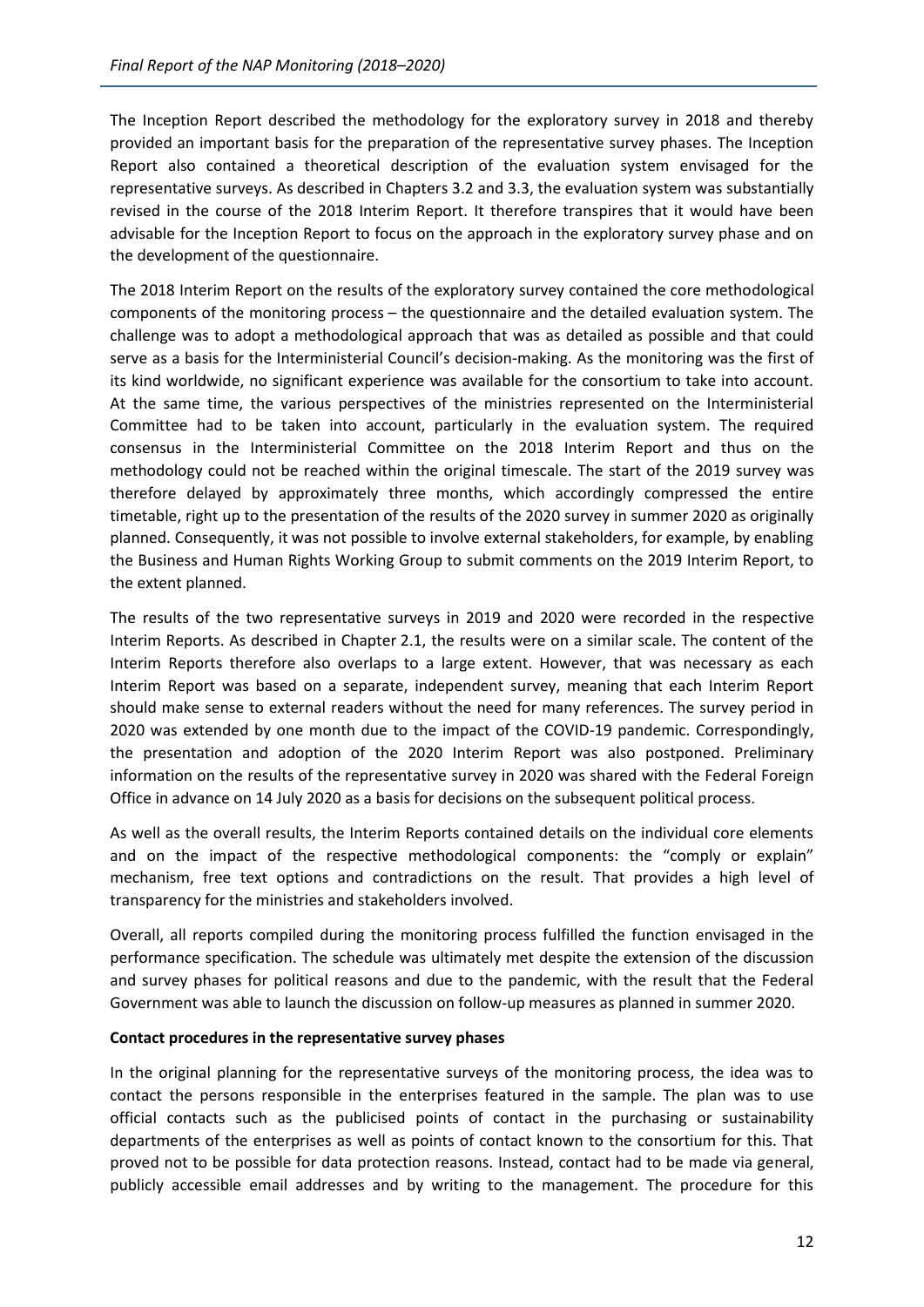The Inception Report described the methodology for the exploratory survey in 2018 and thereby provided an important basis for the preparation of the representative survey phases. The Inception Report also contained a theoretical description of the evaluation system envisaged for the representative surveys. As described in Chapters 3.2 and 3.3, the evaluation system was substantially revised in the course of the 2018 Interim Report. It therefore transpires that it would have been advisable for the Inception Report to focus on the approach in the exploratory survey phase and on the development of the questionnaire.

The 2018 Interim Report on the results of the exploratory survey contained the core methodological components of the monitoring process – the questionnaire and the detailed evaluation system. The challenge was to adopt a methodological approach that was as detailed as possible and that could serve as a basis for the Interministerial Council's decision-making. As the monitoring was the first of its kind worldwide, no significant experience was available for the consortium to take into account. At the same time, the various perspectives of the ministries represented on the Interministerial Committee had to be taken into account, particularly in the evaluation system. The required consensus in the Interministerial Committee on the 2018 Interim Report and thus on the methodology could not be reached within the original timescale. The start of the 2019 survey was therefore delayed by approximately three months, which accordingly compressed the entire timetable, right up to the presentation of the results of the 2020 survey in summer 2020 as originally planned. Consequently, it was not possible to involve external stakeholders, for example, by enabling the Business and Human Rights Working Group to submit comments on the 2019 Interim Report, to the extent planned.

The results of the two representative surveys in 2019 and 2020 were recorded in the respective Interim Reports. As described in Chapter 2.1, the results were on a similar scale. The content of the Interim Reports therefore also overlaps to a large extent. However, that was necessary as each Interim Report was based on a separate, independent survey, meaning that each Interim Report should make sense to external readers without the need for many references. The survey period in 2020 was extended by one month due to the impact of the COVID-19 pandemic. Correspondingly, the presentation and adoption of the 2020 Interim Report was also postponed. Preliminary information on the results of the representative survey in 2020 was shared with the Federal Foreign Office in advance on 14 July 2020 as a basis for decisions on the subsequent political process.

As well as the overall results, the Interim Reports contained details on the individual core elements and on the impact of the respective methodological components: the "comply or explain" mechanism, free text options and contradictions on the result. That provides a high level of transparency for the ministries and stakeholders involved.

Overall, all reports compiled during the monitoring process fulfilled the function envisaged in the performance specification. The schedule was ultimately met despite the extension of the discussion and survey phases for political reasons and due to the pandemic, with the result that the Federal Government was able to launch the discussion on follow-up measures as planned in summer 2020.

## **Contact procedures in the representative survey phases**

In the original planning for the representative surveys of the monitoring process, the idea was to contact the persons responsible in the enterprises featured in the sample. The plan was to use official contacts such as the publicised points of contact in the purchasing or sustainability departments of the enterprises as well as points of contact known to the consortium for this. That proved not to be possible for data protection reasons. Instead, contact had to be made via general, publicly accessible email addresses and by writing to the management. The procedure for this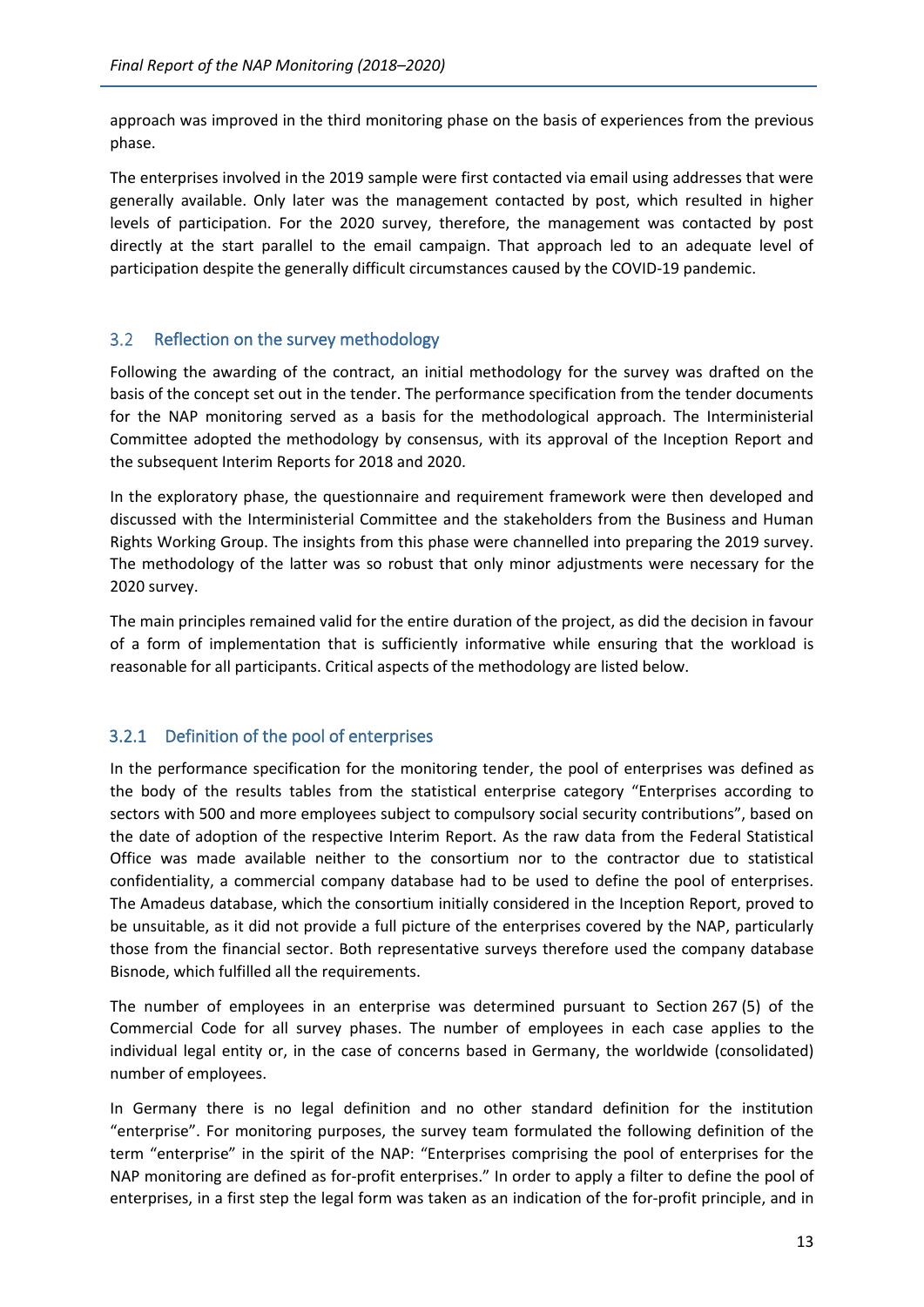approach was improved in the third monitoring phase on the basis of experiences from the previous phase.

The enterprises involved in the 2019 sample were first contacted via email using addresses that were generally available. Only later was the management contacted by post, which resulted in higher levels of participation. For the 2020 survey, therefore, the management was contacted by post directly at the start parallel to the email campaign. That approach led to an adequate level of participation despite the generally difficult circumstances caused by the COVID-19 pandemic.

### <span id="page-15-0"></span> $3.2$ Reflection on the survey methodology

Following the awarding of the contract, an initial methodology for the survey was drafted on the basis of the concept set out in the tender. The performance specification from the tender documents for the NAP monitoring served as a basis for the methodological approach. The Interministerial Committee adopted the methodology by consensus, with its approval of the Inception Report and the subsequent Interim Reports for 2018 and 2020.

In the exploratory phase, the questionnaire and requirement framework were then developed and discussed with the Interministerial Committee and the stakeholders from the Business and Human Rights Working Group. The insights from this phase were channelled into preparing the 2019 survey. The methodology of the latter was so robust that only minor adjustments were necessary for the 2020 survey.

The main principles remained valid for the entire duration of the project, as did the decision in favour of a form of implementation that is sufficiently informative while ensuring that the workload is reasonable for all participants. Critical aspects of the methodology are listed below.

## <span id="page-15-1"></span>3.2.1 Definition of the pool of enterprises

In the performance specification for the monitoring tender, the pool of enterprises was defined as the body of the results tables from the statistical enterprise category "Enterprises according to sectors with 500 and more employees subject to compulsory social security contributions", based on the date of adoption of the respective Interim Report. As the raw data from the Federal Statistical Office was made available neither to the consortium nor to the contractor due to statistical confidentiality, a commercial company database had to be used to define the pool of enterprises. The Amadeus database, which the consortium initially considered in the Inception Report, proved to be unsuitable, as it did not provide a full picture of the enterprises covered by the NAP, particularly those from the financial sector. Both representative surveys therefore used the company database Bisnode, which fulfilled all the requirements.

The number of employees in an enterprise was determined pursuant to Section 267 (5) of the Commercial Code for all survey phases. The number of employees in each case applies to the individual legal entity or, in the case of concerns based in Germany, the worldwide (consolidated) number of employees.

In Germany there is no legal definition and no other standard definition for the institution "enterprise". For monitoring purposes, the survey team formulated the following definition of the term "enterprise" in the spirit of the NAP: "Enterprises comprising the pool of enterprises for the NAP monitoring are defined as for-profit enterprises." In order to apply a filter to define the pool of enterprises, in a first step the legal form was taken as an indication of the for-profit principle, and in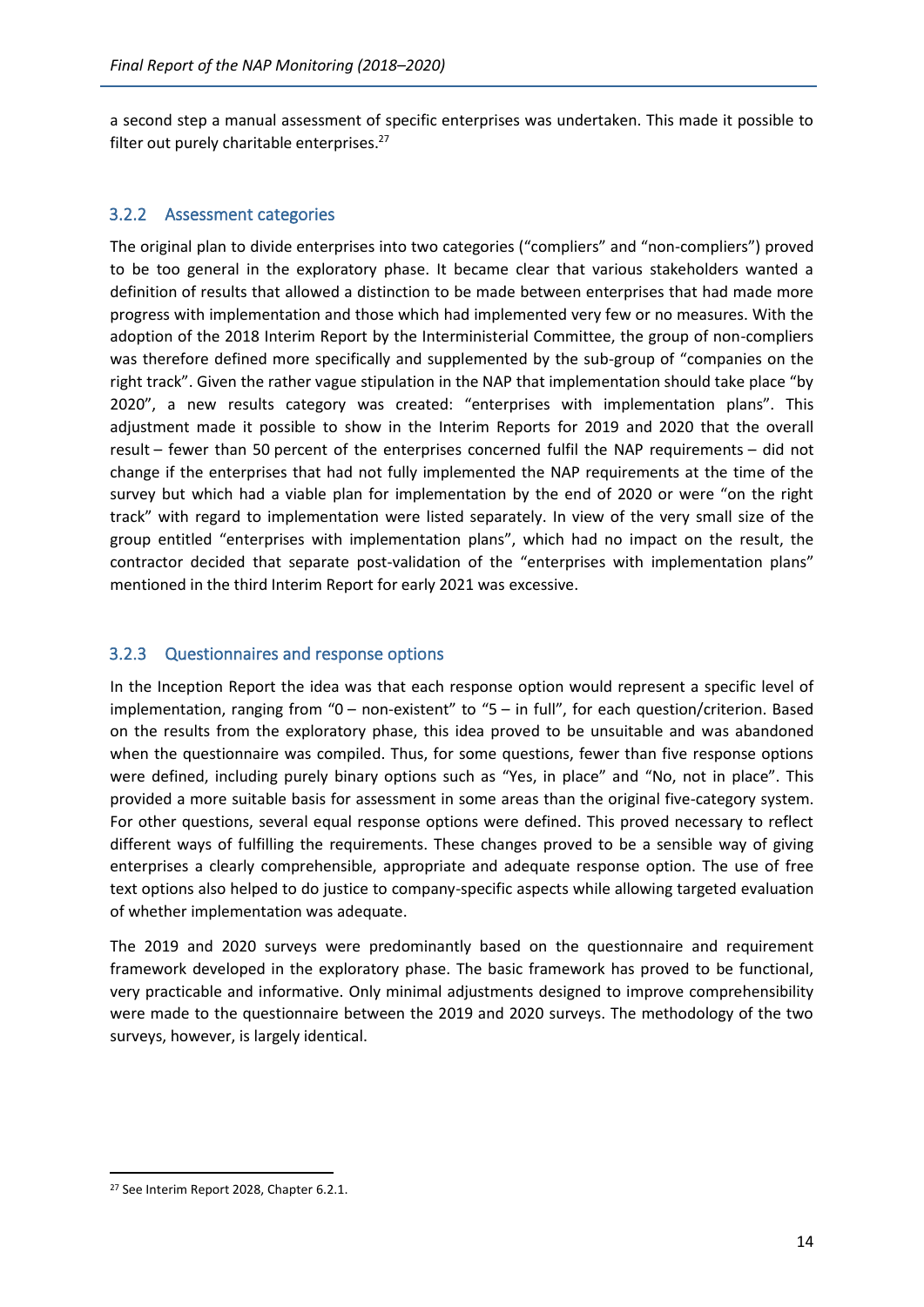a second step a manual assessment of specific enterprises was undertaken. This made it possible to filter out purely charitable enterprises.<sup>27</sup>

## <span id="page-16-0"></span>3.2.2 Assessment categories

The original plan to divide enterprises into two categories ("compliers" and "non-compliers") proved to be too general in the exploratory phase. It became clear that various stakeholders wanted a definition of results that allowed a distinction to be made between enterprises that had made more progress with implementation and those which had implemented very few or no measures. With the adoption of the 2018 Interim Report by the Interministerial Committee, the group of non-compliers was therefore defined more specifically and supplemented by the sub-group of "companies on the right track". Given the rather vague stipulation in the NAP that implementation should take place "by 2020", a new results category was created: "enterprises with implementation plans". This adjustment made it possible to show in the Interim Reports for 2019 and 2020 that the overall result – fewer than 50 percent of the enterprises concerned fulfil the NAP requirements – did not change if the enterprises that had not fully implemented the NAP requirements at the time of the survey but which had a viable plan for implementation by the end of 2020 or were "on the right track" with regard to implementation were listed separately. In view of the very small size of the group entitled "enterprises with implementation plans", which had no impact on the result, the contractor decided that separate post-validation of the "enterprises with implementation plans" mentioned in the third Interim Report for early 2021 was excessive.

## <span id="page-16-1"></span>3.2.3 Questionnaires and response options

In the Inception Report the idea was that each response option would represent a specific level of implementation, ranging from "0 – non-existent" to "5 – in full", for each question/criterion. Based on the results from the exploratory phase, this idea proved to be unsuitable and was abandoned when the questionnaire was compiled. Thus, for some questions, fewer than five response options were defined, including purely binary options such as "Yes, in place" and "No, not in place". This provided a more suitable basis for assessment in some areas than the original five-category system. For other questions, several equal response options were defined. This proved necessary to reflect different ways of fulfilling the requirements. These changes proved to be a sensible way of giving enterprises a clearly comprehensible, appropriate and adequate response option. The use of free text options also helped to do justice to company-specific aspects while allowing targeted evaluation of whether implementation was adequate.

The 2019 and 2020 surveys were predominantly based on the questionnaire and requirement framework developed in the exploratory phase. The basic framework has proved to be functional, very practicable and informative. Only minimal adjustments designed to improve comprehensibility were made to the questionnaire between the 2019 and 2020 surveys. The methodology of the two surveys, however, is largely identical.

<sup>&</sup>lt;sup>27</sup> See Interim Report 2028, Chapter 6.2.1.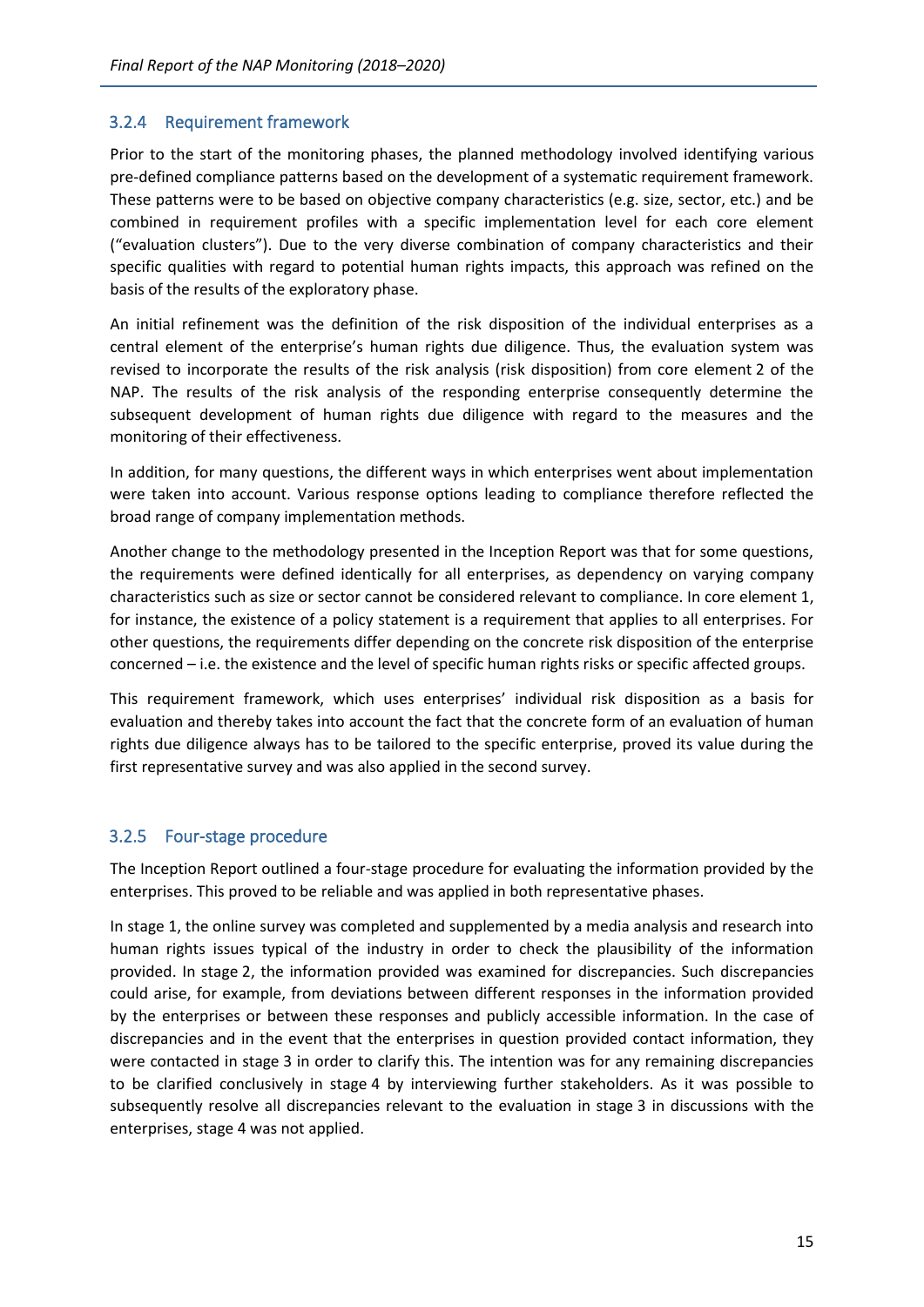## <span id="page-17-0"></span>3.2.4 Requirement framework

Prior to the start of the monitoring phases, the planned methodology involved identifying various pre-defined compliance patterns based on the development of a systematic requirement framework. These patterns were to be based on objective company characteristics (e.g. size, sector, etc.) and be combined in requirement profiles with a specific implementation level for each core element ("evaluation clusters"). Due to the very diverse combination of company characteristics and their specific qualities with regard to potential human rights impacts, this approach was refined on the basis of the results of the exploratory phase.

An initial refinement was the definition of the risk disposition of the individual enterprises as a central element of the enterprise's human rights due diligence. Thus, the evaluation system was revised to incorporate the results of the risk analysis (risk disposition) from core element 2 of the NAP. The results of the risk analysis of the responding enterprise consequently determine the subsequent development of human rights due diligence with regard to the measures and the monitoring of their effectiveness.

In addition, for many questions, the different ways in which enterprises went about implementation were taken into account. Various response options leading to compliance therefore reflected the broad range of company implementation methods.

Another change to the methodology presented in the Inception Report was that for some questions, the requirements were defined identically for all enterprises, as dependency on varying company characteristics such as size or sector cannot be considered relevant to compliance. In core element 1, for instance, the existence of a policy statement is a requirement that applies to all enterprises. For other questions, the requirements differ depending on the concrete risk disposition of the enterprise concerned – i.e. the existence and the level of specific human rights risks or specific affected groups.

This requirement framework, which uses enterprises' individual risk disposition as a basis for evaluation and thereby takes into account the fact that the concrete form of an evaluation of human rights due diligence always has to be tailored to the specific enterprise, proved its value during the first representative survey and was also applied in the second survey.

## <span id="page-17-1"></span>3.2.5 Four-stage procedure

The Inception Report outlined a four-stage procedure for evaluating the information provided by the enterprises. This proved to be reliable and was applied in both representative phases.

In stage 1, the online survey was completed and supplemented by a media analysis and research into human rights issues typical of the industry in order to check the plausibility of the information provided. In stage 2, the information provided was examined for discrepancies. Such discrepancies could arise, for example, from deviations between different responses in the information provided by the enterprises or between these responses and publicly accessible information. In the case of discrepancies and in the event that the enterprises in question provided contact information, they were contacted in stage 3 in order to clarify this. The intention was for any remaining discrepancies to be clarified conclusively in stage 4 by interviewing further stakeholders. As it was possible to subsequently resolve all discrepancies relevant to the evaluation in stage 3 in discussions with the enterprises, stage 4 was not applied.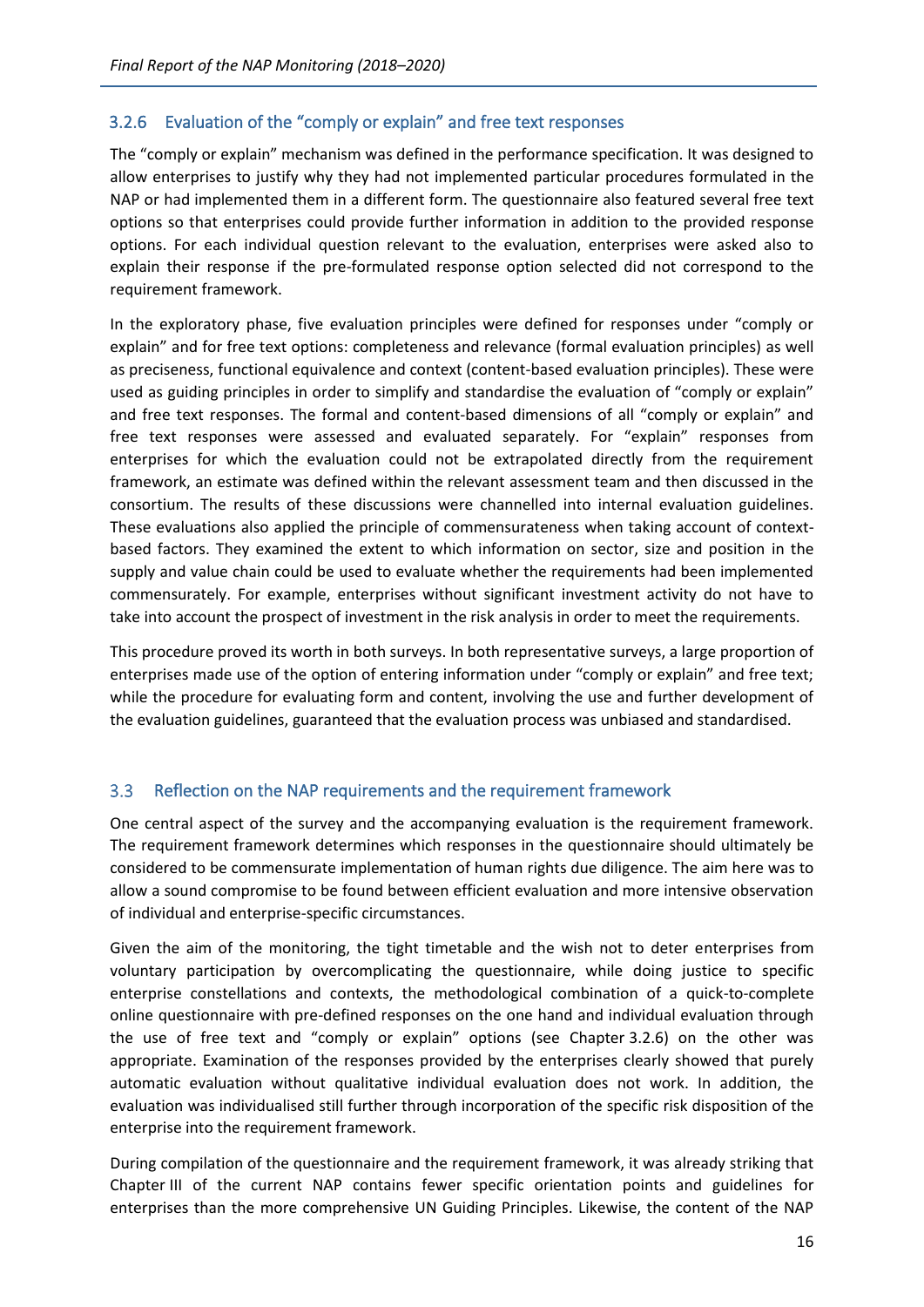## <span id="page-18-0"></span>3.2.6 Evaluation of the "comply or explain" and free text responses

The "comply or explain" mechanism was defined in the performance specification. It was designed to allow enterprises to justify why they had not implemented particular procedures formulated in the NAP or had implemented them in a different form. The questionnaire also featured several free text options so that enterprises could provide further information in addition to the provided response options. For each individual question relevant to the evaluation, enterprises were asked also to explain their response if the pre-formulated response option selected did not correspond to the requirement framework.

In the exploratory phase, five evaluation principles were defined for responses under "comply or explain" and for free text options: completeness and relevance (formal evaluation principles) as well as preciseness, functional equivalence and context (content-based evaluation principles). These were used as guiding principles in order to simplify and standardise the evaluation of "comply or explain" and free text responses. The formal and content-based dimensions of all "comply or explain" and free text responses were assessed and evaluated separately. For "explain" responses from enterprises for which the evaluation could not be extrapolated directly from the requirement framework, an estimate was defined within the relevant assessment team and then discussed in the consortium. The results of these discussions were channelled into internal evaluation guidelines. These evaluations also applied the principle of commensurateness when taking account of contextbased factors. They examined the extent to which information on sector, size and position in the supply and value chain could be used to evaluate whether the requirements had been implemented commensurately. For example, enterprises without significant investment activity do not have to take into account the prospect of investment in the risk analysis in order to meet the requirements.

This procedure proved its worth in both surveys. In both representative surveys, a large proportion of enterprises made use of the option of entering information under "comply or explain" and free text; while the procedure for evaluating form and content, involving the use and further development of the evaluation guidelines, guaranteed that the evaluation process was unbiased and standardised.

### <span id="page-18-1"></span> $3.3$ Reflection on the NAP requirements and the requirement framework

One central aspect of the survey and the accompanying evaluation is the requirement framework. The requirement framework determines which responses in the questionnaire should ultimately be considered to be commensurate implementation of human rights due diligence. The aim here was to allow a sound compromise to be found between efficient evaluation and more intensive observation of individual and enterprise-specific circumstances.

Given the aim of the monitoring, the tight timetable and the wish not to deter enterprises from voluntary participation by overcomplicating the questionnaire, while doing justice to specific enterprise constellations and contexts, the methodological combination of a quick-to-complete online questionnaire with pre-defined responses on the one hand and individual evaluation through the use of free text and "comply or explain" options (see Chapter 3.2.6) on the other was appropriate. Examination of the responses provided by the enterprises clearly showed that purely automatic evaluation without qualitative individual evaluation does not work. In addition, the evaluation was individualised still further through incorporation of the specific risk disposition of the enterprise into the requirement framework.

During compilation of the questionnaire and the requirement framework, it was already striking that Chapter III of the current NAP contains fewer specific orientation points and guidelines for enterprises than the more comprehensive UN Guiding Principles. Likewise, the content of the NAP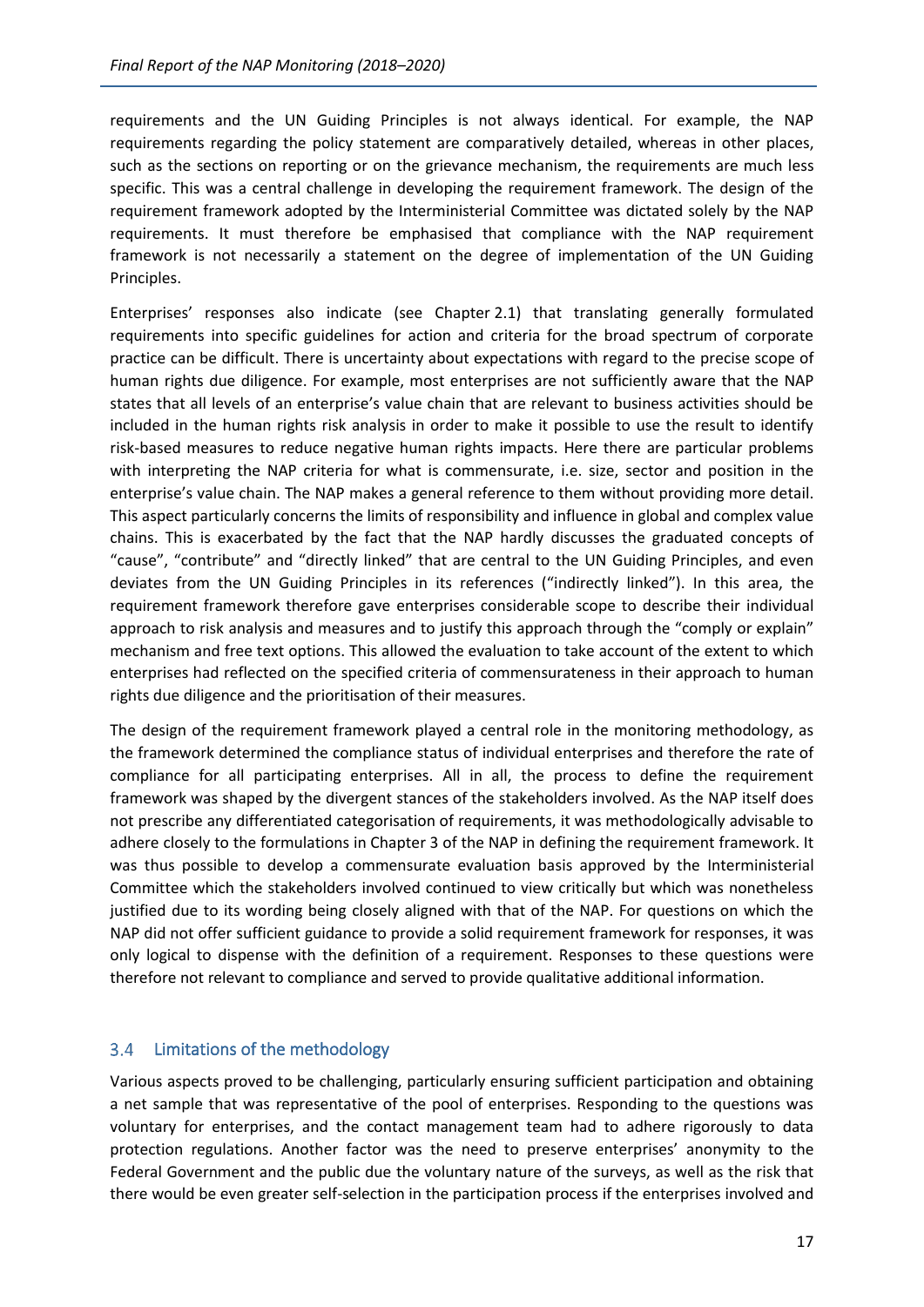requirements and the UN Guiding Principles is not always identical. For example, the NAP requirements regarding the policy statement are comparatively detailed, whereas in other places, such as the sections on reporting or on the grievance mechanism, the requirements are much less specific. This was a central challenge in developing the requirement framework. The design of the requirement framework adopted by the Interministerial Committee was dictated solely by the NAP requirements. It must therefore be emphasised that compliance with the NAP requirement framework is not necessarily a statement on the degree of implementation of the UN Guiding Principles.

Enterprises' responses also indicate (see Chapter 2.1) that translating generally formulated requirements into specific guidelines for action and criteria for the broad spectrum of corporate practice can be difficult. There is uncertainty about expectations with regard to the precise scope of human rights due diligence. For example, most enterprises are not sufficiently aware that the NAP states that all levels of an enterprise's value chain that are relevant to business activities should be included in the human rights risk analysis in order to make it possible to use the result to identify risk-based measures to reduce negative human rights impacts. Here there are particular problems with interpreting the NAP criteria for what is commensurate, i.e. size, sector and position in the enterprise's value chain. The NAP makes a general reference to them without providing more detail. This aspect particularly concerns the limits of responsibility and influence in global and complex value chains. This is exacerbated by the fact that the NAP hardly discusses the graduated concepts of "cause", "contribute" and "directly linked" that are central to the UN Guiding Principles, and even deviates from the UN Guiding Principles in its references ("indirectly linked"). In this area, the requirement framework therefore gave enterprises considerable scope to describe their individual approach to risk analysis and measures and to justify this approach through the "comply or explain" mechanism and free text options. This allowed the evaluation to take account of the extent to which enterprises had reflected on the specified criteria of commensurateness in their approach to human rights due diligence and the prioritisation of their measures.

The design of the requirement framework played a central role in the monitoring methodology, as the framework determined the compliance status of individual enterprises and therefore the rate of compliance for all participating enterprises. All in all, the process to define the requirement framework was shaped by the divergent stances of the stakeholders involved. As the NAP itself does not prescribe any differentiated categorisation of requirements, it was methodologically advisable to adhere closely to the formulations in Chapter 3 of the NAP in defining the requirement framework. It was thus possible to develop a commensurate evaluation basis approved by the Interministerial Committee which the stakeholders involved continued to view critically but which was nonetheless justified due to its wording being closely aligned with that of the NAP. For questions on which the NAP did not offer sufficient guidance to provide a solid requirement framework for responses, it was only logical to dispense with the definition of a requirement. Responses to these questions were therefore not relevant to compliance and served to provide qualitative additional information.

### <span id="page-19-0"></span>Limitations of the methodology  $3.4$

Various aspects proved to be challenging, particularly ensuring sufficient participation and obtaining a net sample that was representative of the pool of enterprises. Responding to the questions was voluntary for enterprises, and the contact management team had to adhere rigorously to data protection regulations. Another factor was the need to preserve enterprises' anonymity to the Federal Government and the public due the voluntary nature of the surveys, as well as the risk that there would be even greater self-selection in the participation process if the enterprises involved and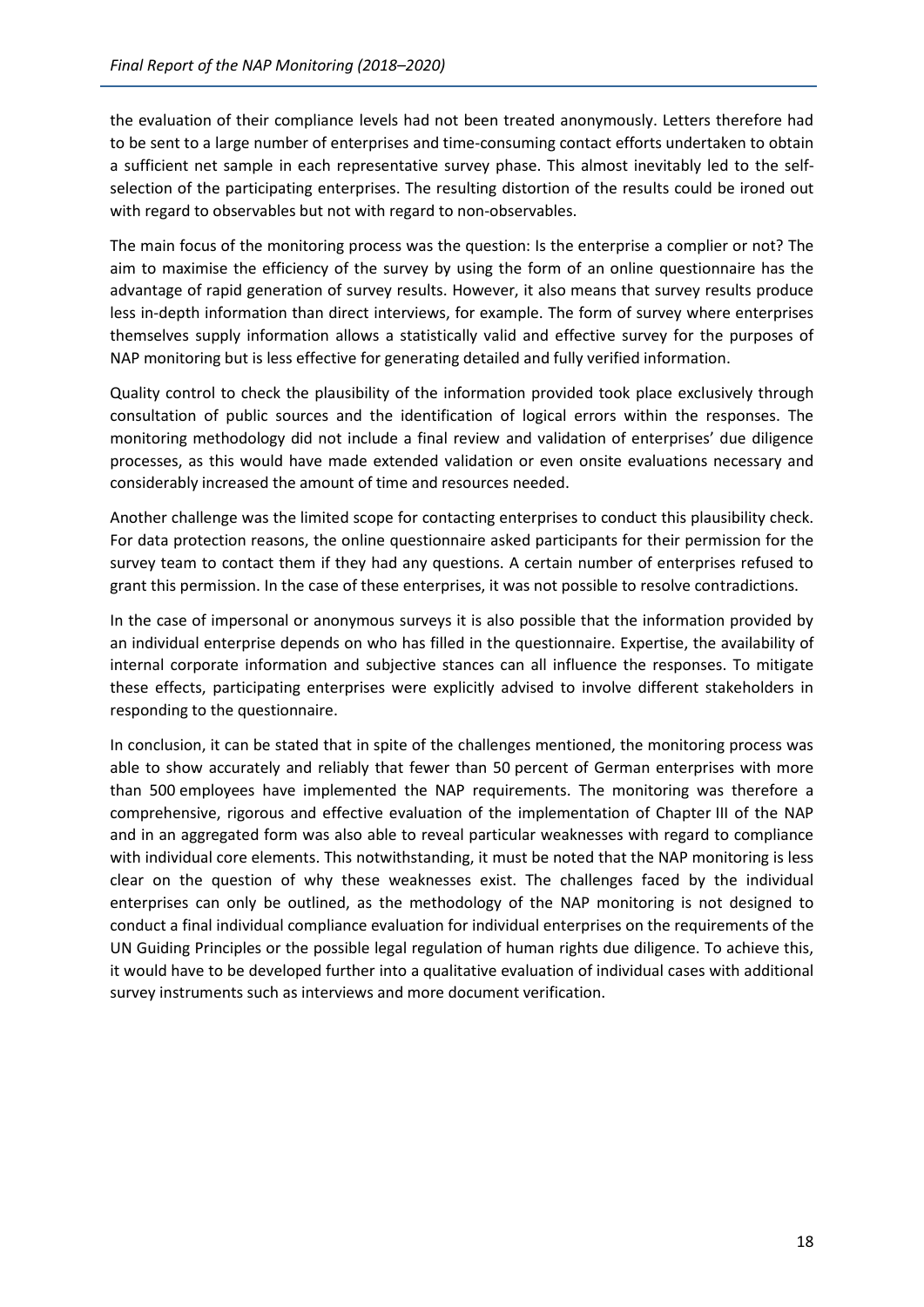the evaluation of their compliance levels had not been treated anonymously. Letters therefore had to be sent to a large number of enterprises and time-consuming contact efforts undertaken to obtain a sufficient net sample in each representative survey phase. This almost inevitably led to the selfselection of the participating enterprises. The resulting distortion of the results could be ironed out with regard to observables but not with regard to non-observables.

The main focus of the monitoring process was the question: Is the enterprise a complier or not? The aim to maximise the efficiency of the survey by using the form of an online questionnaire has the advantage of rapid generation of survey results. However, it also means that survey results produce less in-depth information than direct interviews, for example. The form of survey where enterprises themselves supply information allows a statistically valid and effective survey for the purposes of NAP monitoring but is less effective for generating detailed and fully verified information.

Quality control to check the plausibility of the information provided took place exclusively through consultation of public sources and the identification of logical errors within the responses. The monitoring methodology did not include a final review and validation of enterprises' due diligence processes, as this would have made extended validation or even onsite evaluations necessary and considerably increased the amount of time and resources needed.

Another challenge was the limited scope for contacting enterprises to conduct this plausibility check. For data protection reasons, the online questionnaire asked participants for their permission for the survey team to contact them if they had any questions. A certain number of enterprises refused to grant this permission. In the case of these enterprises, it was not possible to resolve contradictions.

In the case of impersonal or anonymous surveys it is also possible that the information provided by an individual enterprise depends on who has filled in the questionnaire. Expertise, the availability of internal corporate information and subjective stances can all influence the responses. To mitigate these effects, participating enterprises were explicitly advised to involve different stakeholders in responding to the questionnaire.

In conclusion, it can be stated that in spite of the challenges mentioned, the monitoring process was able to show accurately and reliably that fewer than 50 percent of German enterprises with more than 500 employees have implemented the NAP requirements. The monitoring was therefore a comprehensive, rigorous and effective evaluation of the implementation of Chapter III of the NAP and in an aggregated form was also able to reveal particular weaknesses with regard to compliance with individual core elements. This notwithstanding, it must be noted that the NAP monitoring is less clear on the question of why these weaknesses exist. The challenges faced by the individual enterprises can only be outlined, as the methodology of the NAP monitoring is not designed to conduct a final individual compliance evaluation for individual enterprises on the requirements of the UN Guiding Principles or the possible legal regulation of human rights due diligence. To achieve this, it would have to be developed further into a qualitative evaluation of individual cases with additional survey instruments such as interviews and more document verification.